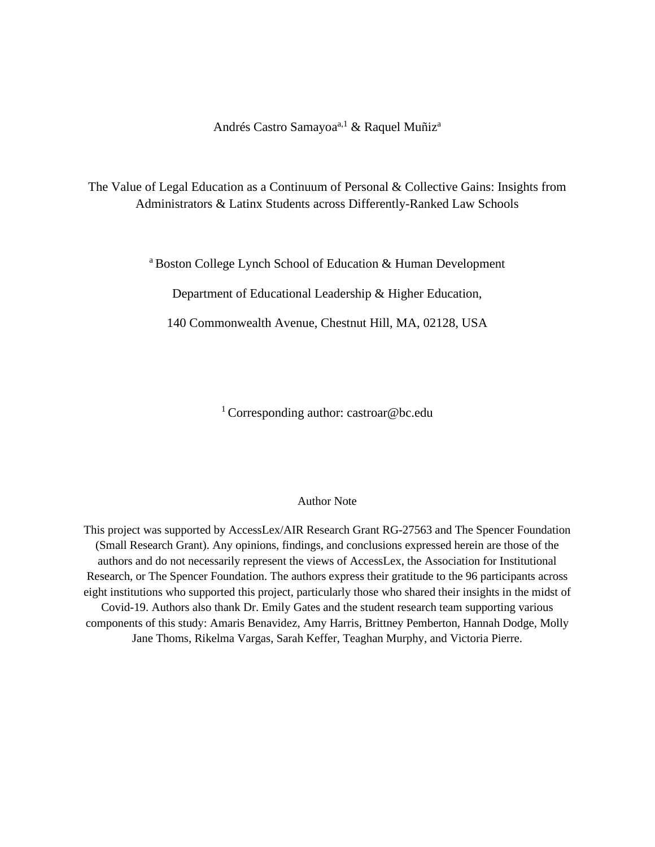Andrés Castro Samayoa<sup>a,1</sup> & Raquel Muñiz<sup>a</sup>

The Value of Legal Education as a Continuum of Personal & Collective Gains: Insights from Administrators & Latinx Students across Differently-Ranked Law Schools

a Boston College Lynch School of Education & Human Development

Department of Educational Leadership & Higher Education,

140 Commonwealth Avenue, Chestnut Hill, MA, 02128, USA

<sup>1</sup> Corresponding author: castroar@bc.edu

#### Author Note

This project was supported by AccessLex/AIR Research Grant RG-27563 and The Spencer Foundation (Small Research Grant). Any opinions, findings, and conclusions expressed herein are those of the authors and do not necessarily represent the views of AccessLex, the Association for Institutional Research, or The Spencer Foundation. The authors express their gratitude to the 96 participants across eight institutions who supported this project, particularly those who shared their insights in the midst of Covid-19. Authors also thank Dr. Emily Gates and the student research team supporting various components of this study: Amaris Benavidez, Amy Harris, Brittney Pemberton, Hannah Dodge, Molly Jane Thoms, Rikelma Vargas, Sarah Keffer, Teaghan Murphy, and Victoria Pierre.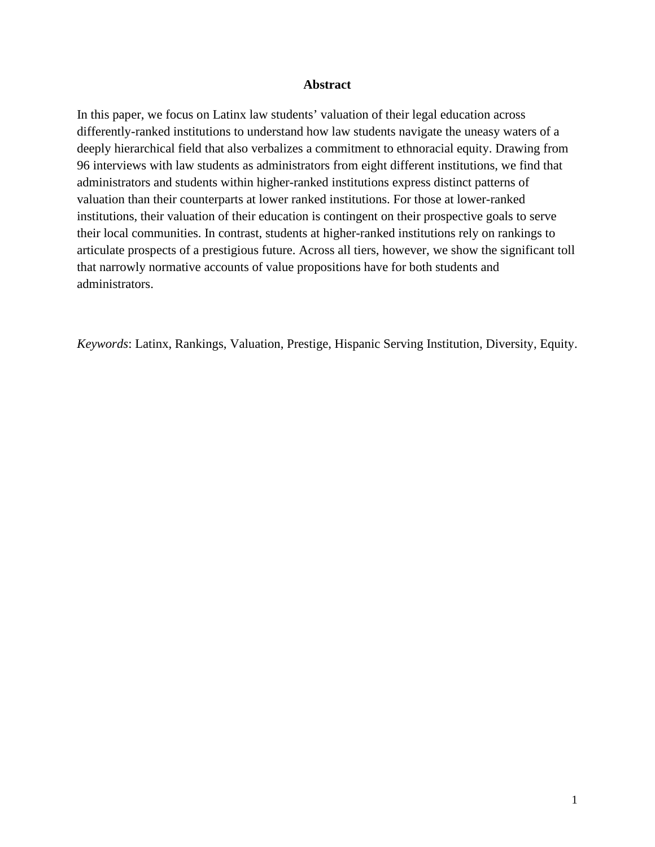#### **Abstract**

In this paper, we focus on Latinx law students' valuation of their legal education across differently-ranked institutions to understand how law students navigate the uneasy waters of a deeply hierarchical field that also verbalizes a commitment to ethnoracial equity. Drawing from 96 interviews with law students as administrators from eight different institutions, we find that administrators and students within higher-ranked institutions express distinct patterns of valuation than their counterparts at lower ranked institutions. For those at lower-ranked institutions, their valuation of their education is contingent on their prospective goals to serve their local communities. In contrast, students at higher-ranked institutions rely on rankings to articulate prospects of a prestigious future. Across all tiers, however, we show the significant toll that narrowly normative accounts of value propositions have for both students and administrators.

*Keywords*: Latinx, Rankings, Valuation, Prestige, Hispanic Serving Institution, Diversity, Equity.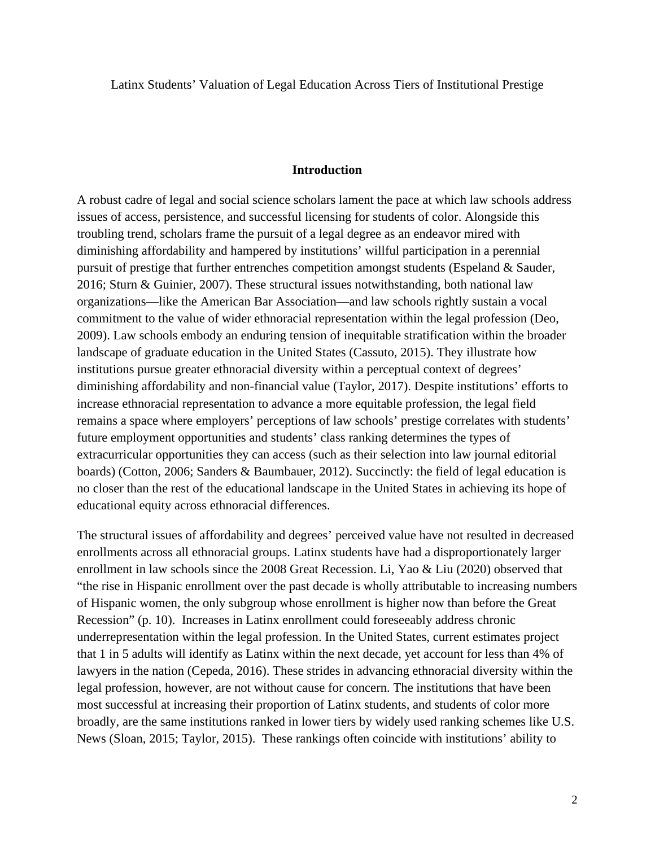Latinx Students' Valuation of Legal Education Across Tiers of Institutional Prestige

#### **Introduction**

A robust cadre of legal and social science scholars lament the pace at which law schools address issues of access, persistence, and successful licensing for students of color. Alongside this troubling trend, scholars frame the pursuit of a legal degree as an endeavor mired with diminishing affordability and hampered by institutions' willful participation in a perennial pursuit of prestige that further entrenches competition amongst students (Espeland & Sauder, 2016; Sturn & Guinier, 2007). These structural issues notwithstanding, both national law organizations—like the American Bar Association—and law schools rightly sustain a vocal commitment to the value of wider ethnoracial representation within the legal profession (Deo, 2009). Law schools embody an enduring tension of inequitable stratification within the broader landscape of graduate education in the United States (Cassuto, 2015). They illustrate how institutions pursue greater ethnoracial diversity within a perceptual context of degrees' diminishing affordability and non-financial value (Taylor, 2017). Despite institutions' efforts to increase ethnoracial representation to advance a more equitable profession, the legal field remains a space where employers' perceptions of law schools' prestige correlates with students' future employment opportunities and students' class ranking determines the types of extracurricular opportunities they can access (such as their selection into law journal editorial boards) (Cotton, 2006; Sanders & Baumbauer, 2012). Succinctly: the field of legal education is no closer than the rest of the educational landscape in the United States in achieving its hope of educational equity across ethnoracial differences.

The structural issues of affordability and degrees' perceived value have not resulted in decreased enrollments across all ethnoracial groups. Latinx students have had a disproportionately larger enrollment in law schools since the 2008 Great Recession. Li, Yao & Liu (2020) observed that "the rise in Hispanic enrollment over the past decade is wholly attributable to increasing numbers of Hispanic women, the only subgroup whose enrollment is higher now than before the Great Recession" (p. 10). Increases in Latinx enrollment could foreseeably address chronic underrepresentation within the legal profession. In the United States, current estimates project that 1 in 5 adults will identify as Latinx within the next decade, yet account for less than 4% of lawyers in the nation (Cepeda, 2016). These strides in advancing ethnoracial diversity within the legal profession, however, are not without cause for concern. The institutions that have been most successful at increasing their proportion of Latinx students, and students of color more broadly, are the same institutions ranked in lower tiers by widely used ranking schemes like U.S. News (Sloan, 2015; Taylor, 2015). These rankings often coincide with institutions' ability to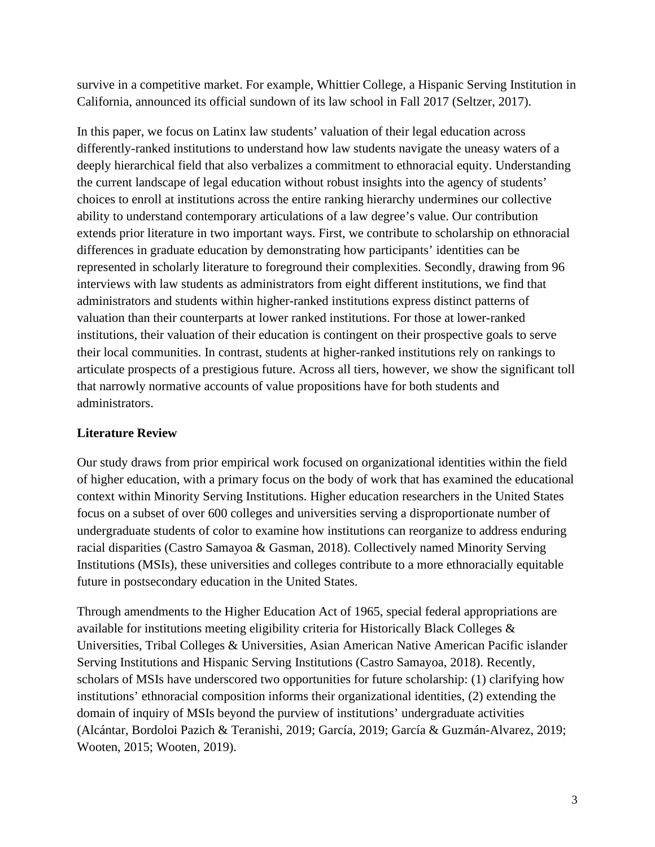survive in a competitive market. For example, Whittier College, a Hispanic Serving Institution in California, announced its official sundown of its law school in Fall 2017 (Seltzer, 2017).

In this paper, we focus on Latinx law students' valuation of their legal education across differently-ranked institutions to understand how law students navigate the uneasy waters of a deeply hierarchical field that also verbalizes a commitment to ethnoracial equity. Understanding the current landscape of legal education without robust insights into the agency of students' choices to enroll at institutions across the entire ranking hierarchy undermines our collective ability to understand contemporary articulations of a law degree's value. Our contribution extends prior literature in two important ways. First, we contribute to scholarship on ethnoracial differences in graduate education by demonstrating how participants' identities can be represented in scholarly literature to foreground their complexities. Secondly, drawing from 96 interviews with law students as administrators from eight different institutions, we find that administrators and students within higher-ranked institutions express distinct patterns of valuation than their counterparts at lower ranked institutions. For those at lower-ranked institutions, their valuation of their education is contingent on their prospective goals to serve their local communities. In contrast, students at higher-ranked institutions rely on rankings to articulate prospects of a prestigious future. Across all tiers, however, we show the significant toll that narrowly normative accounts of value propositions have for both students and administrators.

## **Literature Review**

Our study draws from prior empirical work focused on organizational identities within the field of higher education, with a primary focus on the body of work that has examined the educational context within Minority Serving Institutions. Higher education researchers in the United States focus on a subset of over 600 colleges and universities serving a disproportionate number of undergraduate students of color to examine how institutions can reorganize to address enduring racial disparities (Castro Samayoa & Gasman, 2018). Collectively named Minority Serving Institutions (MSIs), these universities and colleges contribute to a more ethnoracially equitable future in postsecondary education in the United States.

Through amendments to the Higher Education Act of 1965, special federal appropriations are available for institutions meeting eligibility criteria for Historically Black Colleges & Universities, Tribal Colleges & Universities, Asian American Native American Pacific islander Serving Institutions and Hispanic Serving Institutions (Castro Samayoa, 2018). Recently, scholars of MSIs have underscored two opportunities for future scholarship: (1) clarifying how institutions' ethnoracial composition informs their organizational identities, (2) extending the domain of inquiry of MSIs beyond the purview of institutions' undergraduate activities (Alcántar, Bordoloi Pazich & Teranishi, 2019; García, 2019; García & Guzmán-Alvarez, 2019; Wooten, 2015; Wooten, 2019).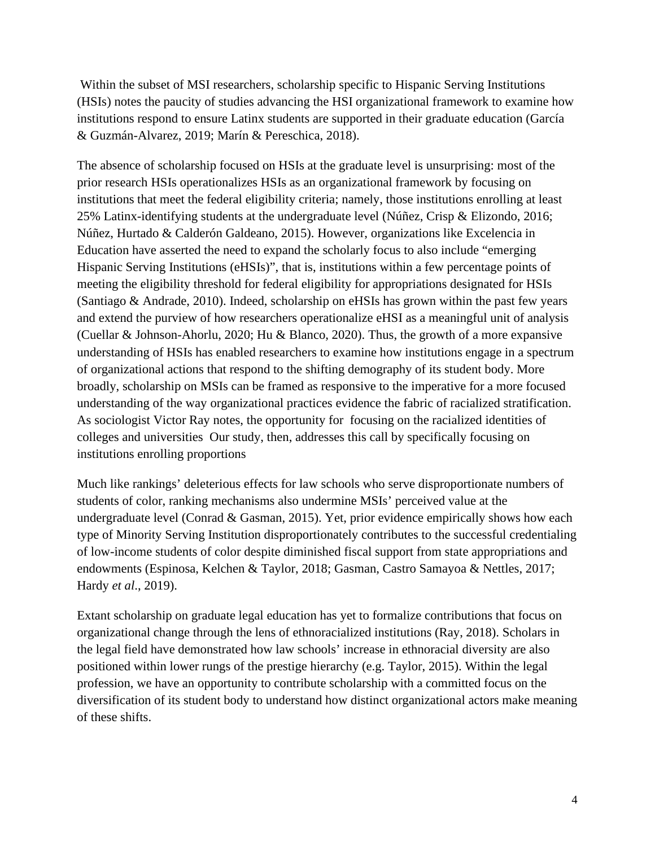Within the subset of MSI researchers, scholarship specific to Hispanic Serving Institutions (HSIs) notes the paucity of studies advancing the HSI organizational framework to examine how institutions respond to ensure Latinx students are supported in their graduate education (García & Guzmán-Alvarez, 2019; Marín & Pereschica, 2018).

The absence of scholarship focused on HSIs at the graduate level is unsurprising: most of the prior research HSIs operationalizes HSIs as an organizational framework by focusing on institutions that meet the federal eligibility criteria; namely, those institutions enrolling at least 25% Latinx-identifying students at the undergraduate level (Núñez, Crisp & Elizondo, 2016; Núñez, Hurtado & Calderón Galdeano, 2015). However, organizations like Excelencia in Education have asserted the need to expand the scholarly focus to also include "emerging Hispanic Serving Institutions (eHSIs)", that is, institutions within a few percentage points of meeting the eligibility threshold for federal eligibility for appropriations designated for HSIs (Santiago & Andrade, 2010). Indeed, scholarship on eHSIs has grown within the past few years and extend the purview of how researchers operationalize eHSI as a meaningful unit of analysis (Cuellar & Johnson-Ahorlu, 2020; Hu & Blanco, 2020). Thus, the growth of a more expansive understanding of HSIs has enabled researchers to examine how institutions engage in a spectrum of organizational actions that respond to the shifting demography of its student body. More broadly, scholarship on MSIs can be framed as responsive to the imperative for a more focused understanding of the way organizational practices evidence the fabric of racialized stratification. As sociologist Victor Ray notes, the opportunity for focusing on the racialized identities of colleges and universities Our study, then, addresses this call by specifically focusing on institutions enrolling proportions

Much like rankings' deleterious effects for law schools who serve disproportionate numbers of students of color, ranking mechanisms also undermine MSIs' perceived value at the undergraduate level (Conrad & Gasman, 2015). Yet, prior evidence empirically shows how each type of Minority Serving Institution disproportionately contributes to the successful credentialing of low-income students of color despite diminished fiscal support from state appropriations and endowments (Espinosa, Kelchen & Taylor, 2018; Gasman, Castro Samayoa & Nettles, 2017; Hardy *et al*., 2019).

Extant scholarship on graduate legal education has yet to formalize contributions that focus on organizational change through the lens of ethnoracialized institutions (Ray, 2018). Scholars in the legal field have demonstrated how law schools' increase in ethnoracial diversity are also positioned within lower rungs of the prestige hierarchy (e.g. Taylor, 2015). Within the legal profession, we have an opportunity to contribute scholarship with a committed focus on the diversification of its student body to understand how distinct organizational actors make meaning of these shifts.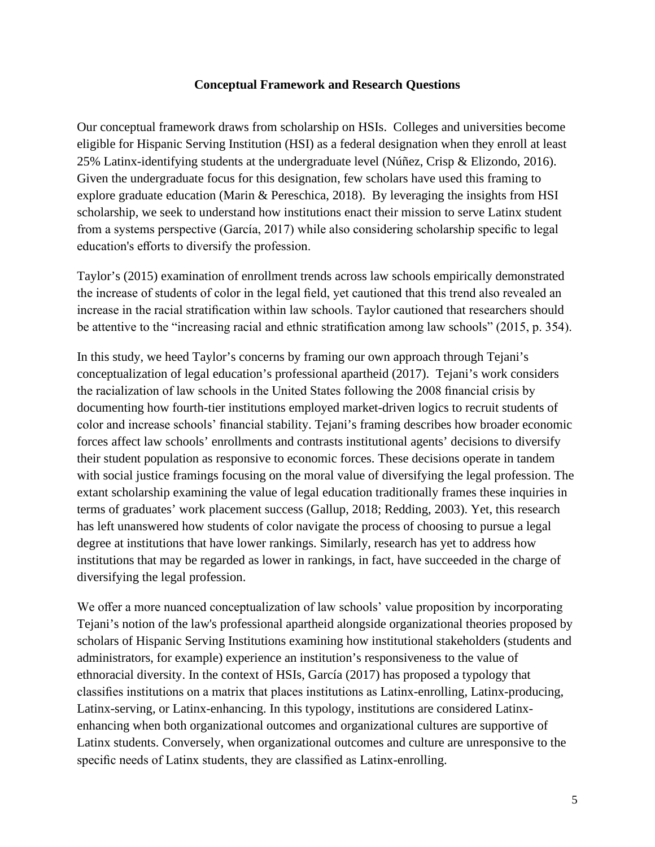#### **Conceptual Framework and Research Questions**

Our conceptual framework draws from scholarship on HSIs. Colleges and universities become eligible for Hispanic Serving Institution (HSI) as a federal designation when they enroll at least 25% Latinx-identifying students at the undergraduate level (Núñez, Crisp & Elizondo, 2016). Given the undergraduate focus for this designation, few scholars have used this framing to explore graduate education (Marin & Pereschica, 2018). By leveraging the insights from HSI scholarship, we seek to understand how institutions enact their mission to serve Latinx student from a systems perspective (García, 2017) while also considering scholarship specific to legal education's efforts to diversify the profession.

Taylor's (2015) examination of enrollment trends across law schools empirically demonstrated the increase of students of color in the legal field, yet cautioned that this trend also revealed an increase in the racial stratification within law schools. Taylor cautioned that researchers should be attentive to the "increasing racial and ethnic stratification among law schools" (2015, p. 354).

In this study, we heed Taylor's concerns by framing our own approach through Tejani's conceptualization of legal education's professional apartheid (2017). Tejani's work considers the racialization of law schools in the United States following the 2008 financial crisis by documenting how fourth-tier institutions employed market-driven logics to recruit students of color and increase schools' financial stability. Tejani's framing describes how broader economic forces affect law schools' enrollments and contrasts institutional agents' decisions to diversify their student population as responsive to economic forces. These decisions operate in tandem with social justice framings focusing on the moral value of diversifying the legal profession. The extant scholarship examining the value of legal education traditionally frames these inquiries in terms of graduates' work placement success (Gallup, 2018; Redding, 2003). Yet, this research has left unanswered how students of color navigate the process of choosing to pursue a legal degree at institutions that have lower rankings. Similarly, research has yet to address how institutions that may be regarded as lower in rankings, in fact, have succeeded in the charge of diversifying the legal profession.

We offer a more nuanced conceptualization of law schools' value proposition by incorporating Tejani's notion of the law's professional apartheid alongside organizational theories proposed by scholars of Hispanic Serving Institutions examining how institutional stakeholders (students and administrators, for example) experience an institution's responsiveness to the value of ethnoracial diversity. In the context of HSIs, García (2017) has proposed a typology that classifies institutions on a matrix that places institutions as Latinx-enrolling, Latinx-producing, Latinx-serving, or Latinx-enhancing. In this typology, institutions are considered Latinxenhancing when both organizational outcomes and organizational cultures are supportive of Latinx students. Conversely, when organizational outcomes and culture are unresponsive to the specific needs of Latinx students, they are classified as Latinx-enrolling.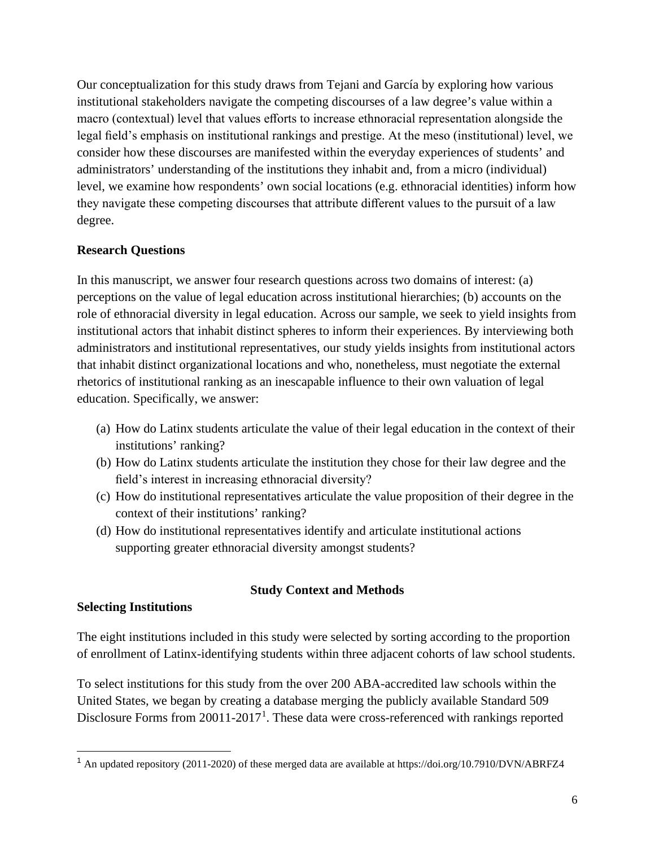Our conceptualization for this study draws from Tejani and García by exploring how various institutional stakeholders navigate the competing discourses of a law degree's value within a macro (contextual) level that values efforts to increase ethnoracial representation alongside the legal field's emphasis on institutional rankings and prestige. At the meso (institutional) level, we consider how these discourses are manifested within the everyday experiences of students' and administrators' understanding of the institutions they inhabit and, from a micro (individual) level, we examine how respondents' own social locations (e.g. ethnoracial identities) inform how they navigate these competing discourses that attribute different values to the pursuit of a law degree.

### **Research Questions**

In this manuscript, we answer four research questions across two domains of interest: (a) perceptions on the value of legal education across institutional hierarchies; (b) accounts on the role of ethnoracial diversity in legal education. Across our sample, we seek to yield insights from institutional actors that inhabit distinct spheres to inform their experiences. By interviewing both administrators and institutional representatives, our study yields insights from institutional actors that inhabit distinct organizational locations and who, nonetheless, must negotiate the external rhetorics of institutional ranking as an inescapable influence to their own valuation of legal education. Specifically, we answer:

- (a) How do Latinx students articulate the value of their legal education in the context of their institutions' ranking?
- (b) How do Latinx students articulate the institution they chose for their law degree and the field's interest in increasing ethnoracial diversity?
- (c) How do institutional representatives articulate the value proposition of their degree in the context of their institutions' ranking?
- (d) How do institutional representatives identify and articulate institutional actions supporting greater ethnoracial diversity amongst students?

## **Study Context and Methods**

#### **Selecting Institutions**

The eight institutions included in this study were selected by sorting according to the proportion of enrollment of Latinx-identifying students within three adjacent cohorts of law school students.

To select institutions for this study from the over 200 ABA-accredited law schools within the United States, we began by creating a database merging the publicly available Standard 509 Disclosure Forms from 200[1](#page-6-0)1-2017<sup>1</sup>. These data were cross-referenced with rankings reported

<span id="page-6-0"></span><sup>1</sup> An updated repository (2011-2020) of these merged data are available at https://doi.org/10.7910/DVN/ABRFZ4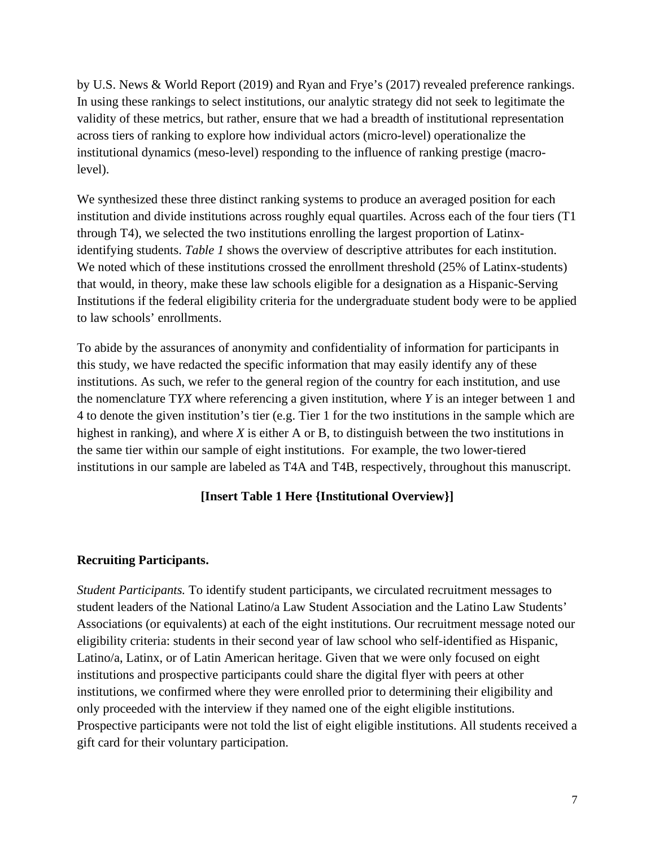by U.S. News & World Report (2019) and Ryan and Frye's (2017) revealed preference rankings. In using these rankings to select institutions, our analytic strategy did not seek to legitimate the validity of these metrics, but rather, ensure that we had a breadth of institutional representation across tiers of ranking to explore how individual actors (micro-level) operationalize the institutional dynamics (meso-level) responding to the influence of ranking prestige (macrolevel).

We synthesized these three distinct ranking systems to produce an averaged position for each institution and divide institutions across roughly equal quartiles. Across each of the four tiers (T1 through T4), we selected the two institutions enrolling the largest proportion of Latinxidentifying students. *Table 1* shows the overview of descriptive attributes for each institution. We noted which of these institutions crossed the enrollment threshold (25% of Latinx-students) that would, in theory, make these law schools eligible for a designation as a Hispanic-Serving Institutions if the federal eligibility criteria for the undergraduate student body were to be applied to law schools' enrollments.

To abide by the assurances of anonymity and confidentiality of information for participants in this study, we have redacted the specific information that may easily identify any of these institutions. As such, we refer to the general region of the country for each institution, and use the nomenclature T*YX* where referencing a given institution, where *Y* is an integer between 1 and 4 to denote the given institution's tier (e.g. Tier 1 for the two institutions in the sample which are highest in ranking), and where *X* is either A or B, to distinguish between the two institutions in the same tier within our sample of eight institutions. For example, the two lower-tiered institutions in our sample are labeled as T4A and T4B, respectively, throughout this manuscript.

## **[Insert Table 1 Here {Institutional Overview}]**

## **Recruiting Participants.**

*Student Participants.* To identify student participants, we circulated recruitment messages to student leaders of the National Latino/a Law Student Association and the Latino Law Students' Associations (or equivalents) at each of the eight institutions. Our recruitment message noted our eligibility criteria: students in their second year of law school who self-identified as Hispanic, Latino/a, Latinx, or of Latin American heritage. Given that we were only focused on eight institutions and prospective participants could share the digital flyer with peers at other institutions, we confirmed where they were enrolled prior to determining their eligibility and only proceeded with the interview if they named one of the eight eligible institutions. Prospective participants were not told the list of eight eligible institutions. All students received a gift card for their voluntary participation.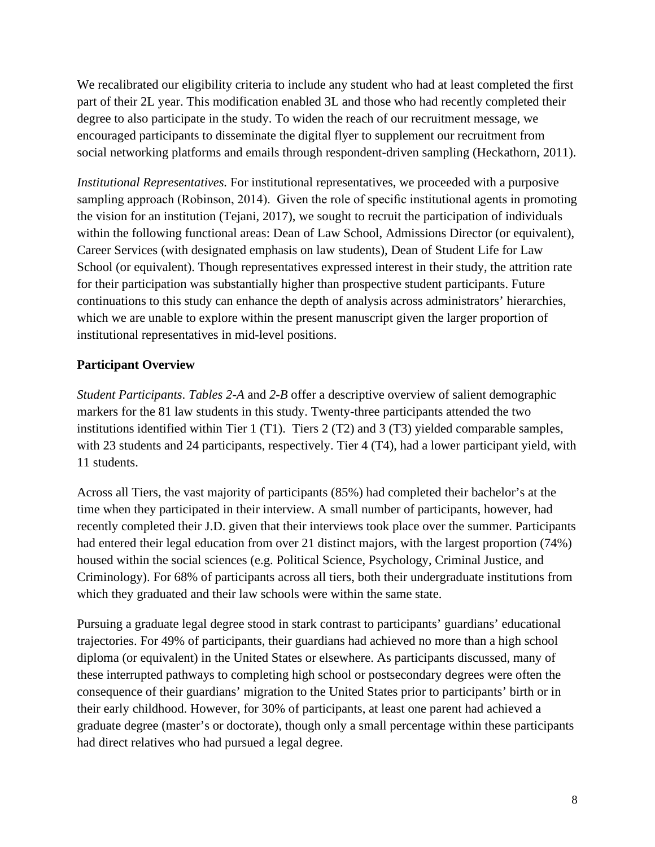We recalibrated our eligibility criteria to include any student who had at least completed the first part of their 2L year. This modification enabled 3L and those who had recently completed their degree to also participate in the study. To widen the reach of our recruitment message, we encouraged participants to disseminate the digital flyer to supplement our recruitment from social networking platforms and emails through respondent-driven sampling (Heckathorn, 2011).

*Institutional Representatives.* For institutional representatives, we proceeded with a purposive sampling approach (Robinson, 2014). Given the role of specific institutional agents in promoting the vision for an institution (Tejani, 2017), we sought to recruit the participation of individuals within the following functional areas: Dean of Law School, Admissions Director (or equivalent), Career Services (with designated emphasis on law students), Dean of Student Life for Law School (or equivalent). Though representatives expressed interest in their study, the attrition rate for their participation was substantially higher than prospective student participants. Future continuations to this study can enhance the depth of analysis across administrators' hierarchies, which we are unable to explore within the present manuscript given the larger proportion of institutional representatives in mid-level positions.

## **Participant Overview**

*Student Participants*. *Tables 2-A* and *2-B* offer a descriptive overview of salient demographic markers for the 81 law students in this study. Twenty-three participants attended the two institutions identified within Tier 1 (T1). Tiers 2 (T2) and 3 (T3) yielded comparable samples, with 23 students and 24 participants, respectively. Tier 4 (T4), had a lower participant yield, with 11 students.

Across all Tiers, the vast majority of participants (85%) had completed their bachelor's at the time when they participated in their interview. A small number of participants, however, had recently completed their J.D. given that their interviews took place over the summer. Participants had entered their legal education from over 21 distinct majors, with the largest proportion (74%) housed within the social sciences (e.g. Political Science, Psychology, Criminal Justice, and Criminology). For 68% of participants across all tiers, both their undergraduate institutions from which they graduated and their law schools were within the same state.

Pursuing a graduate legal degree stood in stark contrast to participants' guardians' educational trajectories. For 49% of participants, their guardians had achieved no more than a high school diploma (or equivalent) in the United States or elsewhere. As participants discussed, many of these interrupted pathways to completing high school or postsecondary degrees were often the consequence of their guardians' migration to the United States prior to participants' birth or in their early childhood. However, for 30% of participants, at least one parent had achieved a graduate degree (master's or doctorate), though only a small percentage within these participants had direct relatives who had pursued a legal degree.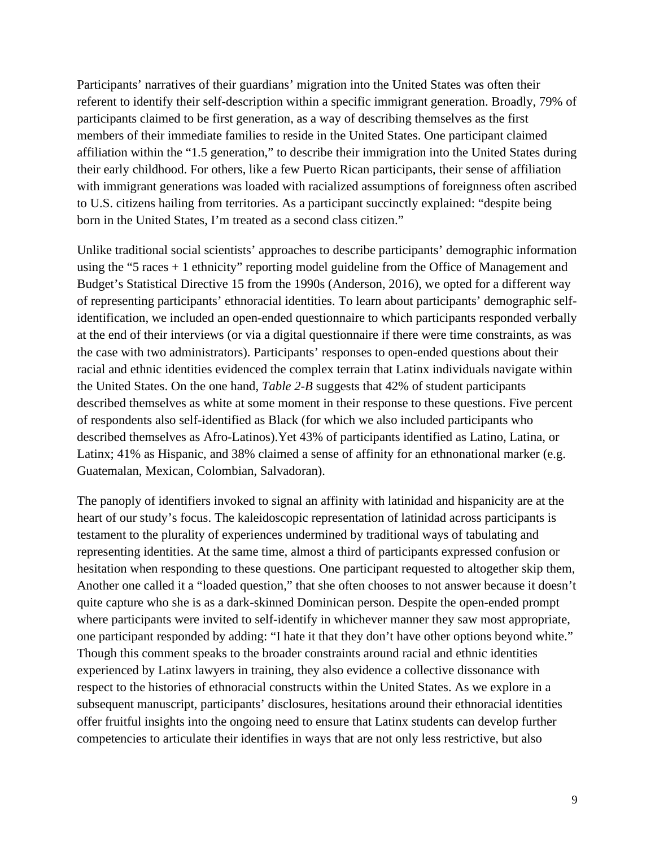Participants' narratives of their guardians' migration into the United States was often their referent to identify their self-description within a specific immigrant generation. Broadly, 79% of participants claimed to be first generation, as a way of describing themselves as the first members of their immediate families to reside in the United States. One participant claimed affiliation within the "1.5 generation," to describe their immigration into the United States during their early childhood. For others, like a few Puerto Rican participants, their sense of affiliation with immigrant generations was loaded with racialized assumptions of foreignness often ascribed to U.S. citizens hailing from territories. As a participant succinctly explained: "despite being born in the United States, I'm treated as a second class citizen."

Unlike traditional social scientists' approaches to describe participants' demographic information using the "5 races + 1 ethnicity" reporting model guideline from the Office of Management and Budget's Statistical Directive 15 from the 1990s (Anderson, 2016), we opted for a different way of representing participants' ethnoracial identities. To learn about participants' demographic selfidentification, we included an open-ended questionnaire to which participants responded verbally at the end of their interviews (or via a digital questionnaire if there were time constraints, as was the case with two administrators). Participants' responses to open-ended questions about their racial and ethnic identities evidenced the complex terrain that Latinx individuals navigate within the United States. On the one hand, *Table 2-B* suggests that 42% of student participants described themselves as white at some moment in their response to these questions. Five percent of respondents also self-identified as Black (for which we also included participants who described themselves as Afro-Latinos).Yet 43% of participants identified as Latino, Latina, or Latinx; 41% as Hispanic, and 38% claimed a sense of affinity for an ethnonational marker (e.g. Guatemalan, Mexican, Colombian, Salvadoran).

The panoply of identifiers invoked to signal an affinity with latinidad and hispanicity are at the heart of our study's focus. The kaleidoscopic representation of latinidad across participants is testament to the plurality of experiences undermined by traditional ways of tabulating and representing identities. At the same time, almost a third of participants expressed confusion or hesitation when responding to these questions. One participant requested to altogether skip them, Another one called it a "loaded question," that she often chooses to not answer because it doesn't quite capture who she is as a dark-skinned Dominican person. Despite the open-ended prompt where participants were invited to self-identify in whichever manner they saw most appropriate, one participant responded by adding: "I hate it that they don't have other options beyond white." Though this comment speaks to the broader constraints around racial and ethnic identities experienced by Latinx lawyers in training, they also evidence a collective dissonance with respect to the histories of ethnoracial constructs within the United States. As we explore in a subsequent manuscript, participants' disclosures, hesitations around their ethnoracial identities offer fruitful insights into the ongoing need to ensure that Latinx students can develop further competencies to articulate their identifies in ways that are not only less restrictive, but also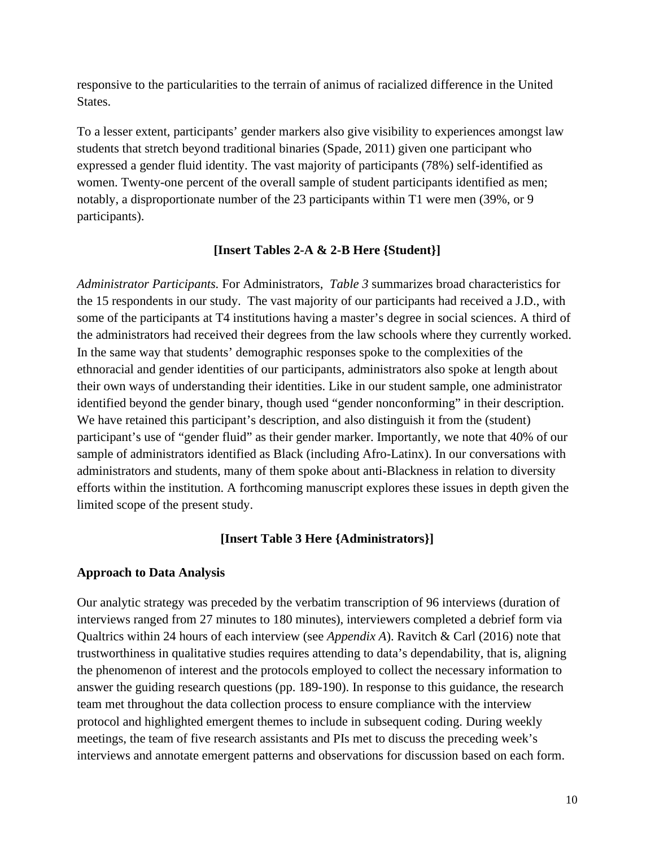responsive to the particularities to the terrain of animus of racialized difference in the United States.

To a lesser extent, participants' gender markers also give visibility to experiences amongst law students that stretch beyond traditional binaries (Spade, 2011) given one participant who expressed a gender fluid identity. The vast majority of participants (78%) self-identified as women. Twenty-one percent of the overall sample of student participants identified as men; notably, a disproportionate number of the 23 participants within T1 were men (39%, or 9 participants).

### **[Insert Tables 2-A & 2-B Here {Student}]**

*Administrator Participants.* For Administrators, *Table 3* summarizes broad characteristics for the 15 respondents in our study. The vast majority of our participants had received a J.D., with some of the participants at T4 institutions having a master's degree in social sciences. A third of the administrators had received their degrees from the law schools where they currently worked. In the same way that students' demographic responses spoke to the complexities of the ethnoracial and gender identities of our participants, administrators also spoke at length about their own ways of understanding their identities. Like in our student sample, one administrator identified beyond the gender binary, though used "gender nonconforming" in their description. We have retained this participant's description, and also distinguish it from the (student) participant's use of "gender fluid" as their gender marker. Importantly, we note that 40% of our sample of administrators identified as Black (including Afro-Latinx). In our conversations with administrators and students, many of them spoke about anti-Blackness in relation to diversity efforts within the institution. A forthcoming manuscript explores these issues in depth given the limited scope of the present study.

#### **[Insert Table 3 Here {Administrators}]**

#### **Approach to Data Analysis**

Our analytic strategy was preceded by the verbatim transcription of 96 interviews (duration of interviews ranged from 27 minutes to 180 minutes), interviewers completed a debrief form via Qualtrics within 24 hours of each interview (see *Appendix A*). Ravitch & Carl (2016) note that trustworthiness in qualitative studies requires attending to data's dependability, that is, aligning the phenomenon of interest and the protocols employed to collect the necessary information to answer the guiding research questions (pp. 189-190). In response to this guidance, the research team met throughout the data collection process to ensure compliance with the interview protocol and highlighted emergent themes to include in subsequent coding. During weekly meetings, the team of five research assistants and PIs met to discuss the preceding week's interviews and annotate emergent patterns and observations for discussion based on each form.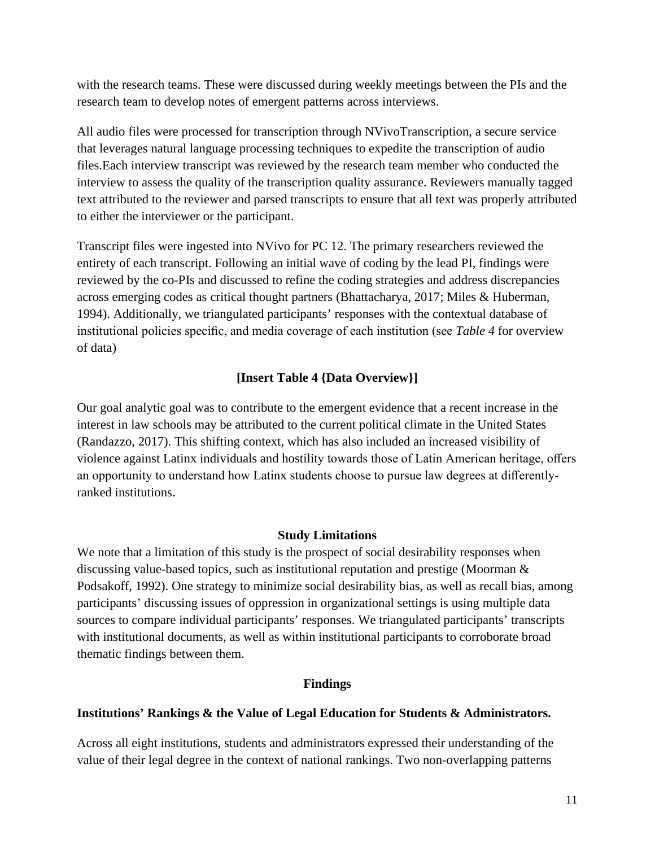with the research teams. These were discussed during weekly meetings between the PIs and the research team to develop notes of emergent patterns across interviews.

All audio files were processed for transcription through NVivoTranscription, a secure service that leverages natural language processing techniques to expedite the transcription of audio files.Each interview transcript was reviewed by the research team member who conducted the interview to assess the quality of the transcription quality assurance. Reviewers manually tagged text attributed to the reviewer and parsed transcripts to ensure that all text was properly attributed to either the interviewer or the participant.

Transcript files were ingested into NVivo for PC 12. The primary researchers reviewed the entirety of each transcript. Following an initial wave of coding by the lead PI, findings were reviewed by the co-PIs and discussed to refine the coding strategies and address discrepancies across emerging codes as critical thought partners (Bhattacharya, 2017; Miles & Huberman, 1994). Additionally, we triangulated participants' responses with the contextual database of institutional policies specific, and media coverage of each institution (see *Table 4* for overview of data)

## **[Insert Table 4 {Data Overview}]**

Our goal analytic goal was to contribute to the emergent evidence that a recent increase in the interest in law schools may be attributed to the current political climate in the United States (Randazzo, 2017). This shifting context, which has also included an increased visibility of violence against Latinx individuals and hostility towards those of Latin American heritage, offers an opportunity to understand how Latinx students choose to pursue law degrees at differentlyranked institutions.

## **Study Limitations**

We note that a limitation of this study is the prospect of social desirability responses when discussing value-based topics, such as institutional reputation and prestige (Moorman  $\&$ Podsakoff, 1992). One strategy to minimize social desirability bias, as well as recall bias, among participants' discussing issues of oppression in organizational settings is using multiple data sources to compare individual participants' responses. We triangulated participants' transcripts with institutional documents, as well as within institutional participants to corroborate broad thematic findings between them.

#### **Findings**

#### **Institutions' Rankings & the Value of Legal Education for Students & Administrators.**

Across all eight institutions, students and administrators expressed their understanding of the value of their legal degree in the context of national rankings. Two non-overlapping patterns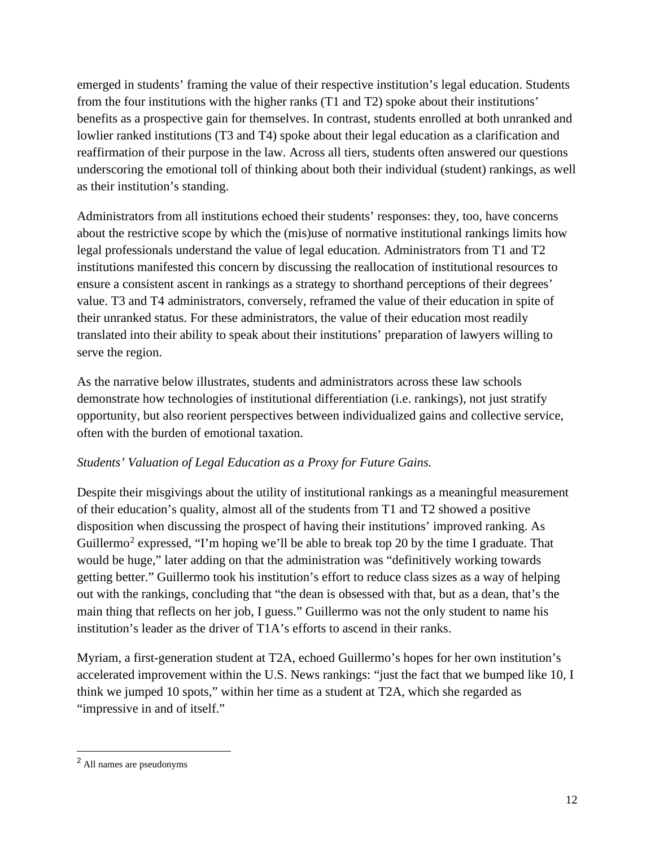emerged in students' framing the value of their respective institution's legal education. Students from the four institutions with the higher ranks (T1 and T2) spoke about their institutions' benefits as a prospective gain for themselves. In contrast, students enrolled at both unranked and lowlier ranked institutions (T3 and T4) spoke about their legal education as a clarification and reaffirmation of their purpose in the law. Across all tiers, students often answered our questions underscoring the emotional toll of thinking about both their individual (student) rankings, as well as their institution's standing.

Administrators from all institutions echoed their students' responses: they, too, have concerns about the restrictive scope by which the (mis)use of normative institutional rankings limits how legal professionals understand the value of legal education. Administrators from T1 and T2 institutions manifested this concern by discussing the reallocation of institutional resources to ensure a consistent ascent in rankings as a strategy to shorthand perceptions of their degrees' value. T3 and T4 administrators, conversely, reframed the value of their education in spite of their unranked status. For these administrators, the value of their education most readily translated into their ability to speak about their institutions' preparation of lawyers willing to serve the region.

As the narrative below illustrates, students and administrators across these law schools demonstrate how technologies of institutional differentiation (i.e. rankings), not just stratify opportunity, but also reorient perspectives between individualized gains and collective service, often with the burden of emotional taxation.

# *Students' Valuation of Legal Education as a Proxy for Future Gains.*

Despite their misgivings about the utility of institutional rankings as a meaningful measurement of their education's quality, almost all of the students from T1 and T2 showed a positive disposition when discussing the prospect of having their institutions' improved ranking. As Guillermo<sup>[2](#page-12-0)</sup> expressed, "I'm hoping we'll be able to break top 20 by the time I graduate. That would be huge," later adding on that the administration was "definitively working towards getting better." Guillermo took his institution's effort to reduce class sizes as a way of helping out with the rankings, concluding that "the dean is obsessed with that, but as a dean, that's the main thing that reflects on her job, I guess." Guillermo was not the only student to name his institution's leader as the driver of T1A's efforts to ascend in their ranks.

Myriam, a first-generation student at T2A, echoed Guillermo's hopes for her own institution's accelerated improvement within the U.S. News rankings: "just the fact that we bumped like 10, I think we jumped 10 spots," within her time as a student at T2A, which she regarded as "impressive in and of itself."

<span id="page-12-0"></span><sup>2</sup> All names are pseudonyms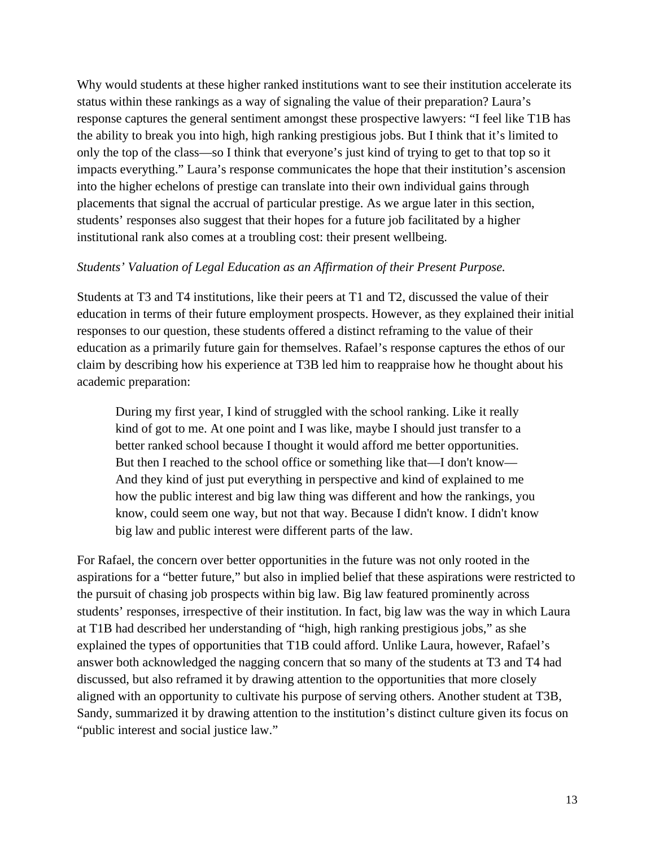Why would students at these higher ranked institutions want to see their institution accelerate its status within these rankings as a way of signaling the value of their preparation? Laura's response captures the general sentiment amongst these prospective lawyers: "I feel like T1B has the ability to break you into high, high ranking prestigious jobs. But I think that it's limited to only the top of the class—so I think that everyone's just kind of trying to get to that top so it impacts everything." Laura's response communicates the hope that their institution's ascension into the higher echelons of prestige can translate into their own individual gains through placements that signal the accrual of particular prestige. As we argue later in this section, students' responses also suggest that their hopes for a future job facilitated by a higher institutional rank also comes at a troubling cost: their present wellbeing.

## *Students' Valuation of Legal Education as an Affirmation of their Present Purpose.*

Students at T3 and T4 institutions, like their peers at T1 and T2, discussed the value of their education in terms of their future employment prospects. However, as they explained their initial responses to our question, these students offered a distinct reframing to the value of their education as a primarily future gain for themselves. Rafael's response captures the ethos of our claim by describing how his experience at T3B led him to reappraise how he thought about his academic preparation:

During my first year, I kind of struggled with the school ranking. Like it really kind of got to me. At one point and I was like, maybe I should just transfer to a better ranked school because I thought it would afford me better opportunities. But then I reached to the school office or something like that—I don't know— And they kind of just put everything in perspective and kind of explained to me how the public interest and big law thing was different and how the rankings, you know, could seem one way, but not that way. Because I didn't know. I didn't know big law and public interest were different parts of the law.

For Rafael, the concern over better opportunities in the future was not only rooted in the aspirations for a "better future," but also in implied belief that these aspirations were restricted to the pursuit of chasing job prospects within big law. Big law featured prominently across students' responses, irrespective of their institution. In fact, big law was the way in which Laura at T1B had described her understanding of "high, high ranking prestigious jobs," as she explained the types of opportunities that T1B could afford. Unlike Laura, however, Rafael's answer both acknowledged the nagging concern that so many of the students at T3 and T4 had discussed, but also reframed it by drawing attention to the opportunities that more closely aligned with an opportunity to cultivate his purpose of serving others. Another student at T3B, Sandy, summarized it by drawing attention to the institution's distinct culture given its focus on "public interest and social justice law."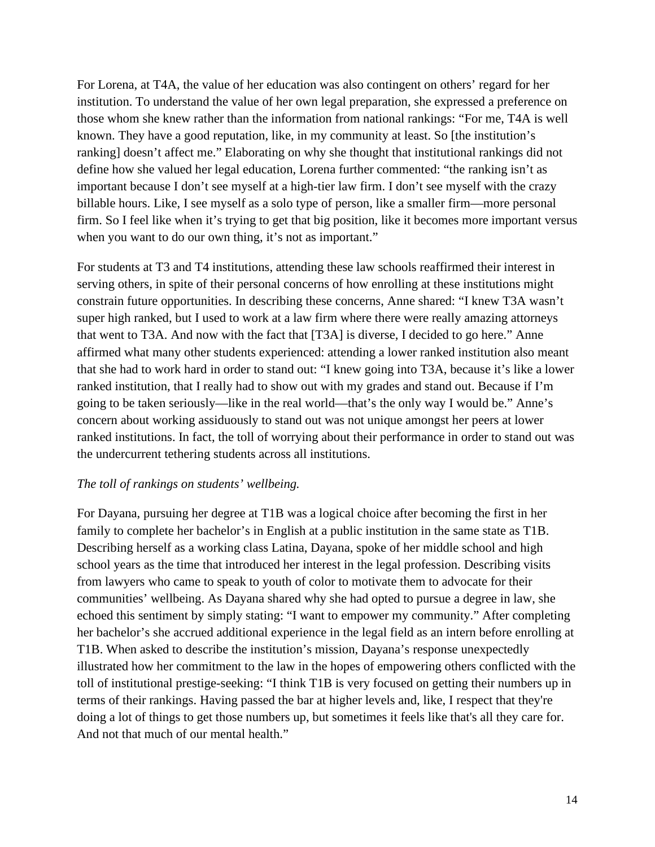For Lorena, at T4A, the value of her education was also contingent on others' regard for her institution. To understand the value of her own legal preparation, she expressed a preference on those whom she knew rather than the information from national rankings: "For me, T4A is well known. They have a good reputation, like, in my community at least. So [the institution's ranking] doesn't affect me." Elaborating on why she thought that institutional rankings did not define how she valued her legal education, Lorena further commented: "the ranking isn't as important because I don't see myself at a high-tier law firm. I don't see myself with the crazy billable hours. Like, I see myself as a solo type of person, like a smaller firm—more personal firm. So I feel like when it's trying to get that big position, like it becomes more important versus when you want to do our own thing, it's not as important."

For students at T3 and T4 institutions, attending these law schools reaffirmed their interest in serving others, in spite of their personal concerns of how enrolling at these institutions might constrain future opportunities. In describing these concerns, Anne shared: "I knew T3A wasn't super high ranked, but I used to work at a law firm where there were really amazing attorneys that went to T3A. And now with the fact that [T3A] is diverse, I decided to go here." Anne affirmed what many other students experienced: attending a lower ranked institution also meant that she had to work hard in order to stand out: "I knew going into T3A, because it's like a lower ranked institution, that I really had to show out with my grades and stand out. Because if I'm going to be taken seriously—like in the real world—that's the only way I would be." Anne's concern about working assiduously to stand out was not unique amongst her peers at lower ranked institutions. In fact, the toll of worrying about their performance in order to stand out was the undercurrent tethering students across all institutions.

#### *The toll of rankings on students' wellbeing.*

For Dayana, pursuing her degree at T1B was a logical choice after becoming the first in her family to complete her bachelor's in English at a public institution in the same state as T1B. Describing herself as a working class Latina, Dayana, spoke of her middle school and high school years as the time that introduced her interest in the legal profession. Describing visits from lawyers who came to speak to youth of color to motivate them to advocate for their communities' wellbeing. As Dayana shared why she had opted to pursue a degree in law, she echoed this sentiment by simply stating: "I want to empower my community." After completing her bachelor's she accrued additional experience in the legal field as an intern before enrolling at T1B. When asked to describe the institution's mission, Dayana's response unexpectedly illustrated how her commitment to the law in the hopes of empowering others conflicted with the toll of institutional prestige-seeking: "I think T1B is very focused on getting their numbers up in terms of their rankings. Having passed the bar at higher levels and, like, I respect that they're doing a lot of things to get those numbers up, but sometimes it feels like that's all they care for. And not that much of our mental health."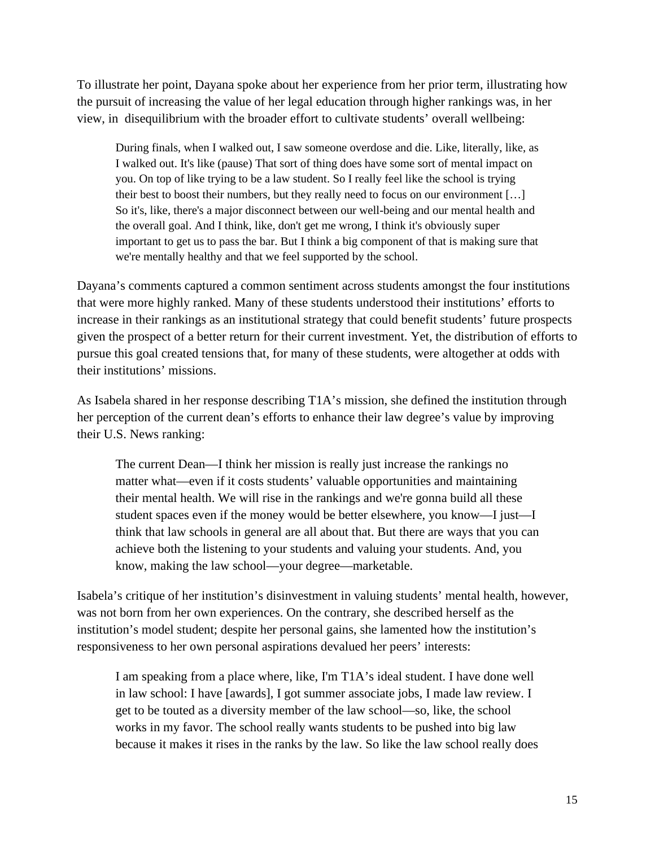To illustrate her point, Dayana spoke about her experience from her prior term, illustrating how the pursuit of increasing the value of her legal education through higher rankings was, in her view, in disequilibrium with the broader effort to cultivate students' overall wellbeing:

During finals, when I walked out, I saw someone overdose and die. Like, literally, like, as I walked out. It's like (pause) That sort of thing does have some sort of mental impact on you. On top of like trying to be a law student. So I really feel like the school is trying their best to boost their numbers, but they really need to focus on our environment […] So it's, like, there's a major disconnect between our well-being and our mental health and the overall goal. And I think, like, don't get me wrong, I think it's obviously super important to get us to pass the bar. But I think a big component of that is making sure that we're mentally healthy and that we feel supported by the school.

Dayana's comments captured a common sentiment across students amongst the four institutions that were more highly ranked. Many of these students understood their institutions' efforts to increase in their rankings as an institutional strategy that could benefit students' future prospects given the prospect of a better return for their current investment. Yet, the distribution of efforts to pursue this goal created tensions that, for many of these students, were altogether at odds with their institutions' missions.

As Isabela shared in her response describing T1A's mission, she defined the institution through her perception of the current dean's efforts to enhance their law degree's value by improving their U.S. News ranking:

The current Dean—I think her mission is really just increase the rankings no matter what—even if it costs students' valuable opportunities and maintaining their mental health. We will rise in the rankings and we're gonna build all these student spaces even if the money would be better elsewhere, you know—I just—I think that law schools in general are all about that. But there are ways that you can achieve both the listening to your students and valuing your students. And, you know, making the law school—your degree—marketable.

Isabela's critique of her institution's disinvestment in valuing students' mental health, however, was not born from her own experiences. On the contrary, she described herself as the institution's model student; despite her personal gains, she lamented how the institution's responsiveness to her own personal aspirations devalued her peers' interests:

I am speaking from a place where, like, I'm T1A's ideal student. I have done well in law school: I have [awards], I got summer associate jobs, I made law review. I get to be touted as a diversity member of the law school—so, like, the school works in my favor. The school really wants students to be pushed into big law because it makes it rises in the ranks by the law. So like the law school really does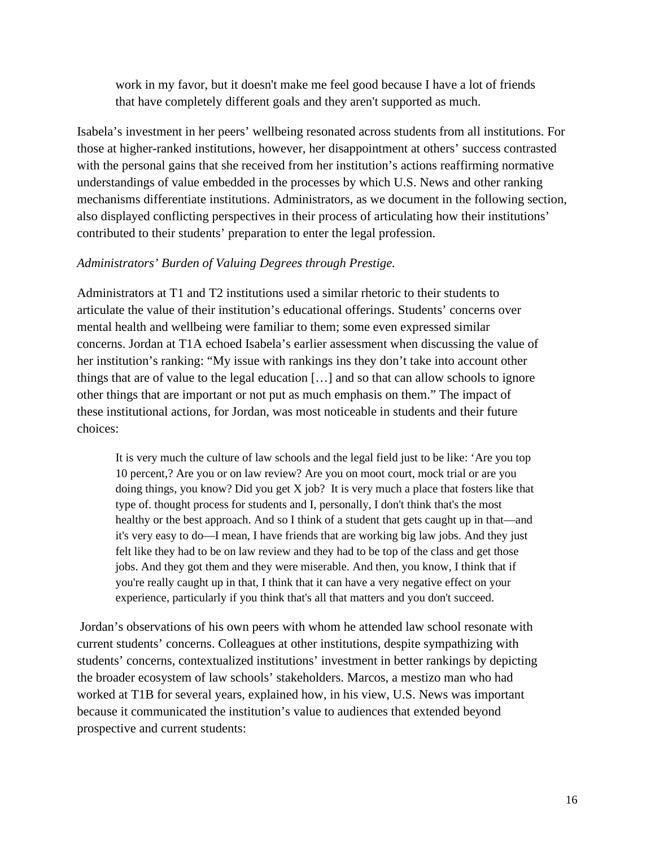work in my favor, but it doesn't make me feel good because I have a lot of friends that have completely different goals and they aren't supported as much.

Isabela's investment in her peers' wellbeing resonated across students from all institutions. For those at higher-ranked institutions, however, her disappointment at others' success contrasted with the personal gains that she received from her institution's actions reaffirming normative understandings of value embedded in the processes by which U.S. News and other ranking mechanisms differentiate institutions. Administrators, as we document in the following section, also displayed conflicting perspectives in their process of articulating how their institutions' contributed to their students' preparation to enter the legal profession.

## *Administrators' Burden of Valuing Degrees through Prestige.*

Administrators at T1 and T2 institutions used a similar rhetoric to their students to articulate the value of their institution's educational offerings. Students' concerns over mental health and wellbeing were familiar to them; some even expressed similar concerns. Jordan at T1A echoed Isabela's earlier assessment when discussing the value of her institution's ranking: "My issue with rankings ins they don't take into account other things that are of value to the legal education […] and so that can allow schools to ignore other things that are important or not put as much emphasis on them." The impact of these institutional actions, for Jordan, was most noticeable in students and their future choices:

It is very much the culture of law schools and the legal field just to be like: 'Are you top 10 percent,? Are you or on law review? Are you on moot court, mock trial or are you doing things, you know? Did you get  $X$  job? It is very much a place that fosters like that type of. thought process for students and I, personally, I don't think that's the most healthy or the best approach. And so I think of a student that gets caught up in that—and it's very easy to do—I mean, I have friends that are working big law jobs. And they just felt like they had to be on law review and they had to be top of the class and get those jobs. And they got them and they were miserable. And then, you know, I think that if you're really caught up in that, I think that it can have a very negative effect on your experience, particularly if you think that's all that matters and you don't succeed.

Jordan's observations of his own peers with whom he attended law school resonate with current students' concerns. Colleagues at other institutions, despite sympathizing with students' concerns, contextualized institutions' investment in better rankings by depicting the broader ecosystem of law schools' stakeholders. Marcos, a mestizo man who had worked at T1B for several years, explained how, in his view, U.S. News was important because it communicated the institution's value to audiences that extended beyond prospective and current students: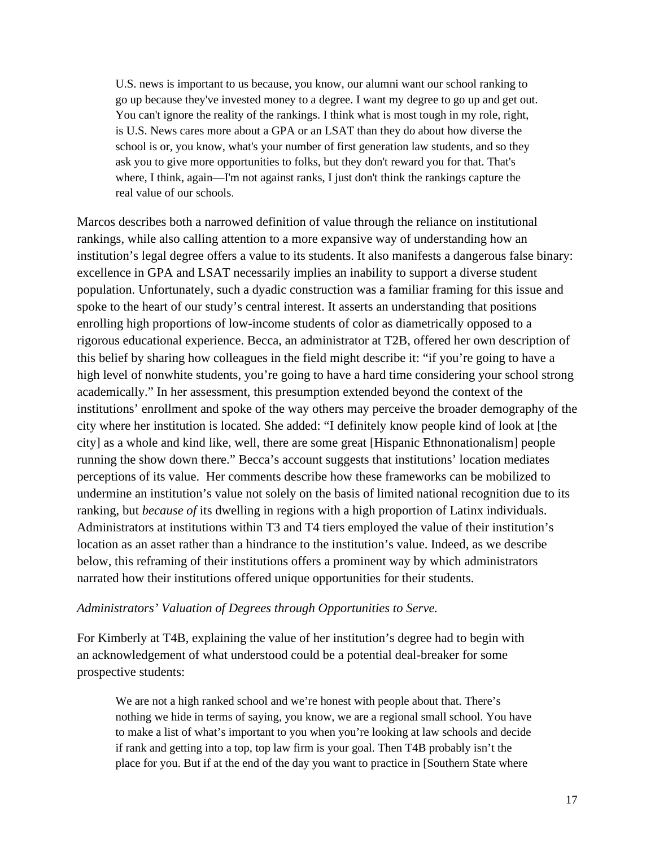U.S. news is important to us because, you know, our alumni want our school ranking to go up because they've invested money to a degree. I want my degree to go up and get out. You can't ignore the reality of the rankings. I think what is most tough in my role, right, is U.S. News cares more about a GPA or an LSAT than they do about how diverse the school is or, you know, what's your number of first generation law students, and so they ask you to give more opportunities to folks, but they don't reward you for that. That's where, I think, again—I'm not against ranks, I just don't think the rankings capture the real value of our schools.

Marcos describes both a narrowed definition of value through the reliance on institutional rankings, while also calling attention to a more expansive way of understanding how an institution's legal degree offers a value to its students. It also manifests a dangerous false binary: excellence in GPA and LSAT necessarily implies an inability to support a diverse student population. Unfortunately, such a dyadic construction was a familiar framing for this issue and spoke to the heart of our study's central interest. It asserts an understanding that positions enrolling high proportions of low-income students of color as diametrically opposed to a rigorous educational experience. Becca, an administrator at T2B, offered her own description of this belief by sharing how colleagues in the field might describe it: "if you're going to have a high level of nonwhite students, you're going to have a hard time considering your school strong academically." In her assessment, this presumption extended beyond the context of the institutions' enrollment and spoke of the way others may perceive the broader demography of the city where her institution is located. She added: "I definitely know people kind of look at [the city] as a whole and kind like, well, there are some great [Hispanic Ethnonationalism] people running the show down there." Becca's account suggests that institutions' location mediates perceptions of its value. Her comments describe how these frameworks can be mobilized to undermine an institution's value not solely on the basis of limited national recognition due to its ranking, but *because of* its dwelling in regions with a high proportion of Latinx individuals. Administrators at institutions within T3 and T4 tiers employed the value of their institution's location as an asset rather than a hindrance to the institution's value. Indeed, as we describe below, this reframing of their institutions offers a prominent way by which administrators narrated how their institutions offered unique opportunities for their students.

#### *Administrators' Valuation of Degrees through Opportunities to Serve.*

For Kimberly at T4B, explaining the value of her institution's degree had to begin with an acknowledgement of what understood could be a potential deal-breaker for some prospective students:

We are not a high ranked school and we're honest with people about that. There's nothing we hide in terms of saying, you know, we are a regional small school. You have to make a list of what's important to you when you're looking at law schools and decide if rank and getting into a top, top law firm is your goal. Then T4B probably isn't the place for you. But if at the end of the day you want to practice in [Southern State where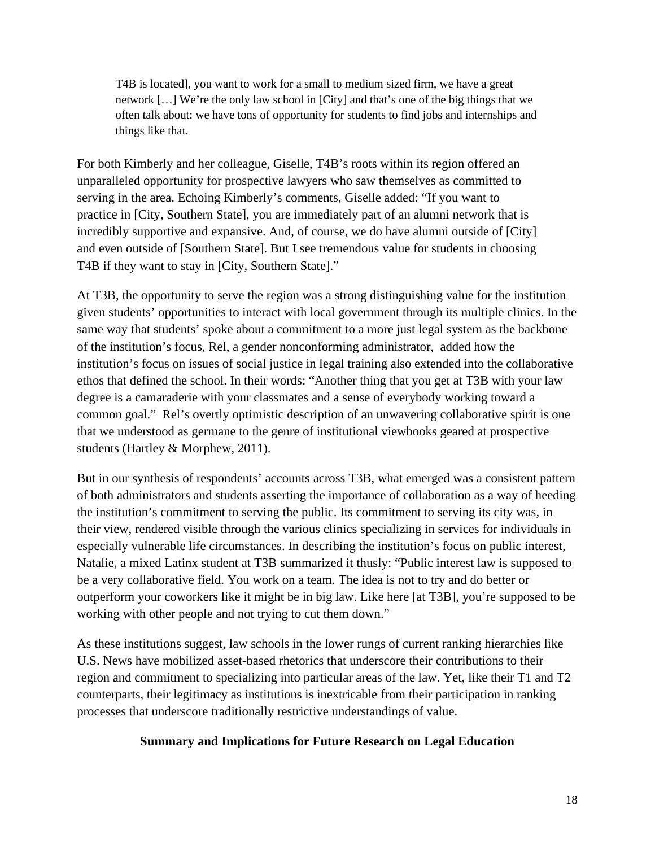T4B is located], you want to work for a small to medium sized firm, we have a great network […] We're the only law school in [City] and that's one of the big things that we often talk about: we have tons of opportunity for students to find jobs and internships and things like that.

For both Kimberly and her colleague, Giselle, T4B's roots within its region offered an unparalleled opportunity for prospective lawyers who saw themselves as committed to serving in the area. Echoing Kimberly's comments, Giselle added: "If you want to practice in [City, Southern State], you are immediately part of an alumni network that is incredibly supportive and expansive. And, of course, we do have alumni outside of [City] and even outside of [Southern State]. But I see tremendous value for students in choosing T4B if they want to stay in [City, Southern State]."

At T3B, the opportunity to serve the region was a strong distinguishing value for the institution given students' opportunities to interact with local government through its multiple clinics. In the same way that students' spoke about a commitment to a more just legal system as the backbone of the institution's focus, Rel, a gender nonconforming administrator, added how the institution's focus on issues of social justice in legal training also extended into the collaborative ethos that defined the school. In their words: "Another thing that you get at T3B with your law degree is a camaraderie with your classmates and a sense of everybody working toward a common goal." Rel's overtly optimistic description of an unwavering collaborative spirit is one that we understood as germane to the genre of institutional viewbooks geared at prospective students (Hartley & Morphew, 2011).

But in our synthesis of respondents' accounts across T3B, what emerged was a consistent pattern of both administrators and students asserting the importance of collaboration as a way of heeding the institution's commitment to serving the public. Its commitment to serving its city was, in their view, rendered visible through the various clinics specializing in services for individuals in especially vulnerable life circumstances. In describing the institution's focus on public interest, Natalie, a mixed Latinx student at T3B summarized it thusly: "Public interest law is supposed to be a very collaborative field. You work on a team. The idea is not to try and do better or outperform your coworkers like it might be in big law. Like here [at T3B], you're supposed to be working with other people and not trying to cut them down."

As these institutions suggest, law schools in the lower rungs of current ranking hierarchies like U.S. News have mobilized asset-based rhetorics that underscore their contributions to their region and commitment to specializing into particular areas of the law. Yet, like their T1 and T2 counterparts, their legitimacy as institutions is inextricable from their participation in ranking processes that underscore traditionally restrictive understandings of value.

#### **Summary and Implications for Future Research on Legal Education**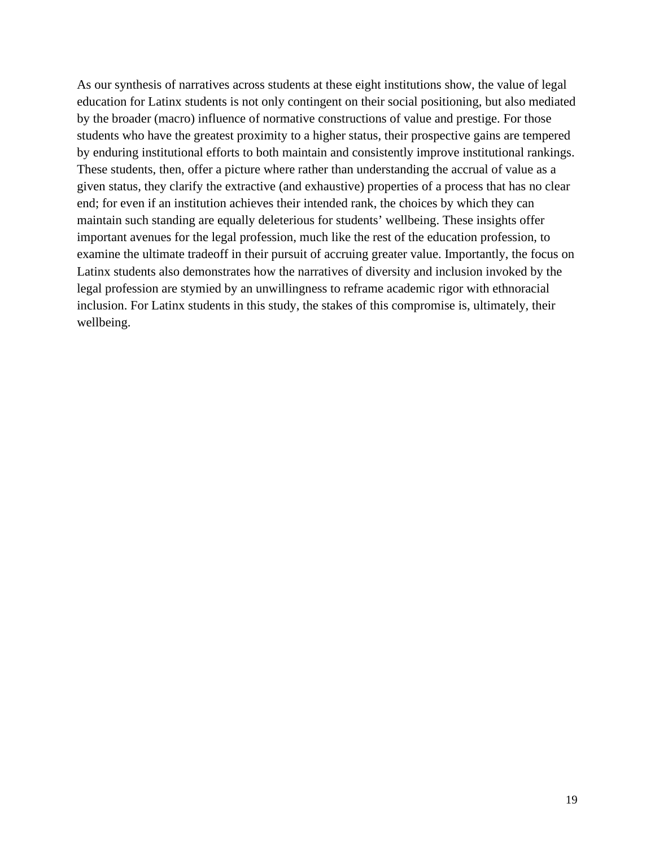As our synthesis of narratives across students at these eight institutions show, the value of legal education for Latinx students is not only contingent on their social positioning, but also mediated by the broader (macro) influence of normative constructions of value and prestige. For those students who have the greatest proximity to a higher status, their prospective gains are tempered by enduring institutional efforts to both maintain and consistently improve institutional rankings. These students, then, offer a picture where rather than understanding the accrual of value as a given status, they clarify the extractive (and exhaustive) properties of a process that has no clear end; for even if an institution achieves their intended rank, the choices by which they can maintain such standing are equally deleterious for students' wellbeing. These insights offer important avenues for the legal profession, much like the rest of the education profession, to examine the ultimate tradeoff in their pursuit of accruing greater value. Importantly, the focus on Latinx students also demonstrates how the narratives of diversity and inclusion invoked by the legal profession are stymied by an unwillingness to reframe academic rigor with ethnoracial inclusion. For Latinx students in this study, the stakes of this compromise is, ultimately, their wellbeing.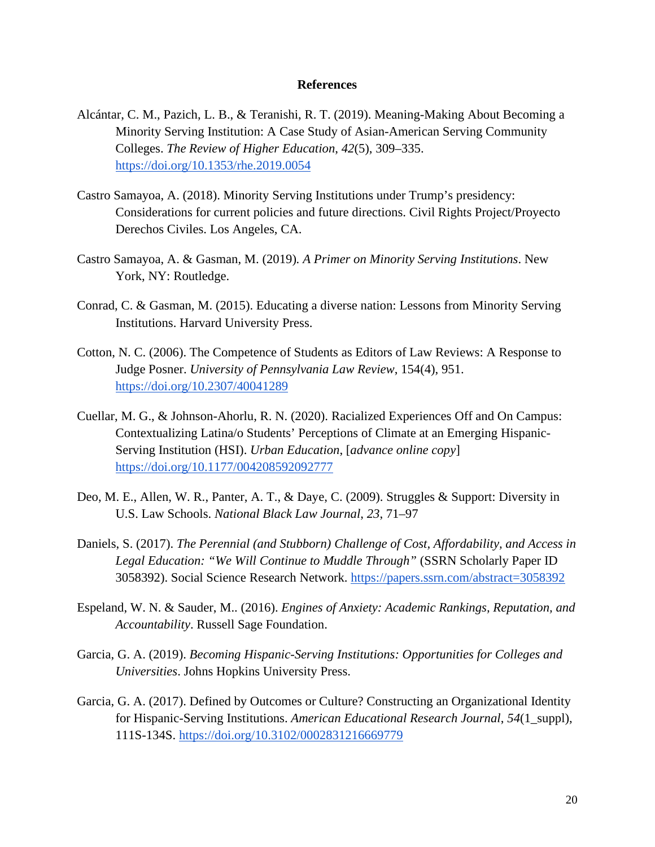#### **References**

- Alcántar, C. M., Pazich, L. B., & Teranishi, R. T. (2019). Meaning-Making About Becoming a Minority Serving Institution: A Case Study of Asian-American Serving Community Colleges. *The Review of Higher Education*, *42*(5), 309–335[.](https://doi.org/10.1353/rhe.2019.0054) <https://doi.org/10.1353/rhe.2019.0054>
- Castro Samayoa, A. (2018). Minority Serving Institutions under Trump's presidency: Considerations for current policies and future directions. Civil Rights Project/Proyecto Derechos Civiles. Los Angeles, CA.
- Castro Samayoa, A. & Gasman, M. (2019)*. A Primer on Minority Serving Institutions*. New York, NY: Routledge.
- Conrad, C. & Gasman, M. (2015). Educating a diverse nation: Lessons from Minority Serving Institutions. Harvard University Press.
- Cotton, N. C. (2006). The Competence of Students as Editors of Law Reviews: A Response to Judge Posner. *University of Pennsylvania Law Review*, 154(4), 951. <https://doi.org/10.2307/40041289>
- Cuellar, M. G., & Johnson-Ahorlu, R. N. (2020). Racialized Experiences Off and On Campus: Contextualizing Latina/o Students' Perceptions of Climate at an Emerging Hispanic-Serving Institution (HSI). *Urban Education*, [*advance online copy*] [https://doi.org/10.1177/004208592092777](https://doi.org/10.1177/0042085920927772)
- Deo, M. E., Allen, W. R., Panter, A. T., & Daye, C. (2009). Struggles & Support: Diversity in U.S. Law Schools. *National Black Law Journal*, *23*, 71–97
- Daniels, S. (2017). *The Perennial (and Stubborn) Challenge of Cost, Affordability, and Access in Legal Education: "We Will Continue to Muddle Through"* (SSRN Scholarly Paper ID 3058392). Social Science Research Network. <https://papers.ssrn.com/abstract=3058392>
- Espeland, W. N. & Sauder, M.. (2016). *Engines of Anxiety: Academic Rankings, Reputation, and Accountability*. Russell Sage Foundation.
- Garcia, G. A. (2019). *Becoming Hispanic-Serving Institutions: Opportunities for Colleges and Universities*. Johns Hopkins University Press.
- Garcia, G. A. (2017). Defined by Outcomes or Culture? Constructing an Organizational Identity for Hispanic-Serving Institutions. *American Educational Research Journal*, *54*(1\_suppl), 111S-134S. <https://doi.org/10.3102/0002831216669779>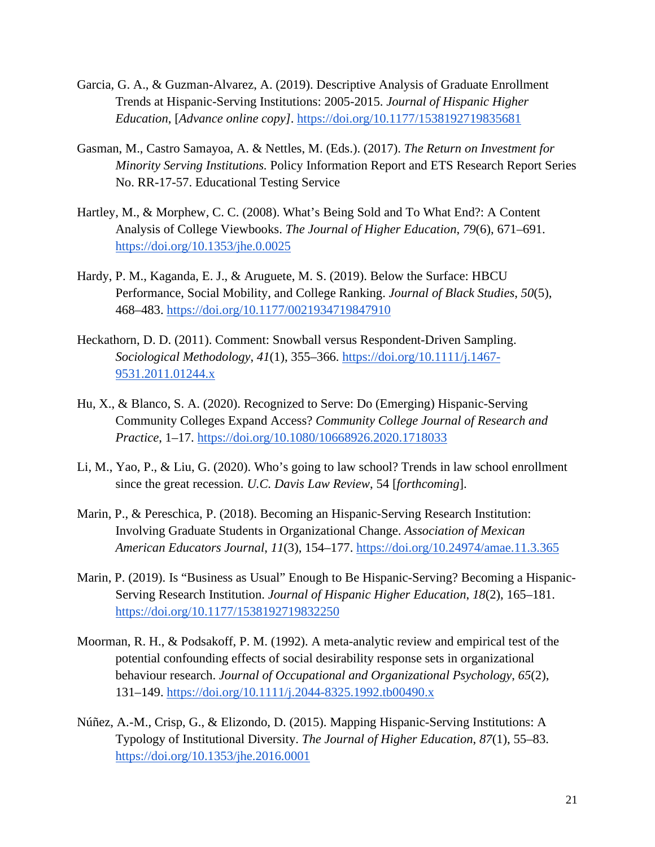- Garcia, G. A., & Guzman-Alvarez, A. (2019). Descriptive Analysis of Graduate Enrollment Trends at Hispanic-Serving Institutions: 2005-2015. *Journal of Hispanic Higher Education*, [*Advance online copy]*. <https://doi.org/10.1177/1538192719835681>
- Gasman, M., Castro Samayoa, A. & Nettles, M. (Eds.). (2017). *The Return on Investment for Minority Serving Institutions.* Policy Information Report and ETS Research Report Series No. RR-17-57. Educational Testing Service
- Hartley, M., & Morphew, C. C. (2008). What's Being Sold and To What End?: A Content Analysis of College Viewbooks. *The Journal of Higher Education*, *79*(6), 671–691[.](https://doi.org/10.1353/jhe.0.0025) <https://doi.org/10.1353/jhe.0.0025>
- Hardy, P. M., Kaganda, E. J., & Aruguete, M. S. (2019). Below the Surface: HBCU Performance, Social Mobility, and College Ranking. *Journal of Black Studies*, *50*(5), 468–483. <https://doi.org/10.1177/0021934719847910>
- Heckathorn, D. D. (2011). Comment: Snowball versus Respondent-Driven Sampling. *Sociological Methodology*, *41*(1), 355–366. [https://doi.org/10.1111/j.1467-](https://doi.org/10.1111/j.1467-9531.2011.01244.x) [9531.2011.01244.x](https://doi.org/10.1111/j.1467-9531.2011.01244.x)
- Hu, X., & Blanco, S. A. (2020). Recognized to Serve: Do (Emerging) Hispanic-Serving Community Colleges Expand Access? *Community College Journal of Research and Practice*, 1–17[.](https://doi.org/10.1080/10668926.2020.1718033) <https://doi.org/10.1080/10668926.2020.1718033>
- Li, M., Yao, P., & Liu, G. (2020). Who's going to law school? Trends in law school enrollment since the great recession. *U.C. Davis Law Review*, 54 [*forthcoming*].
- Marin, P., & Pereschica, P. (2018). Becoming an Hispanic-Serving Research Institution: Involving Graduate Students in Organizational Change. *Association of Mexican American Educators Journal*, *11*(3), 154–177. <https://doi.org/10.24974/amae.11.3.365>
- Marin, P. (2019). Is "Business as Usual" Enough to Be Hispanic-Serving? Becoming a Hispanic-Serving Research Institution. *Journal of Hispanic Higher Education*, *18*(2), 165–181[.](https://doi.org/10.1177/1538192719832250) <https://doi.org/10.1177/1538192719832250>
- Moorman, R. H., & Podsakoff, P. M. (1992). A meta-analytic review and empirical test of the potential confounding effects of social desirability response sets in organizational behaviour research. *Journal of Occupational and Organizational Psychology*, *65*(2), 131–149[.](https://doi.org/10.1111/j.2044-8325.1992.tb00490.x) <https://doi.org/10.1111/j.2044-8325.1992.tb00490.x>
- Núñez, A.-M., Crisp, G., & Elizondo, D. (2015). Mapping Hispanic-Serving Institutions: A Typology of Institutional Diversity. *The Journal of Higher Education*, *87*(1), 55–83[.](https://doi.org/10.1353/jhe.2016.0001) <https://doi.org/10.1353/jhe.2016.0001>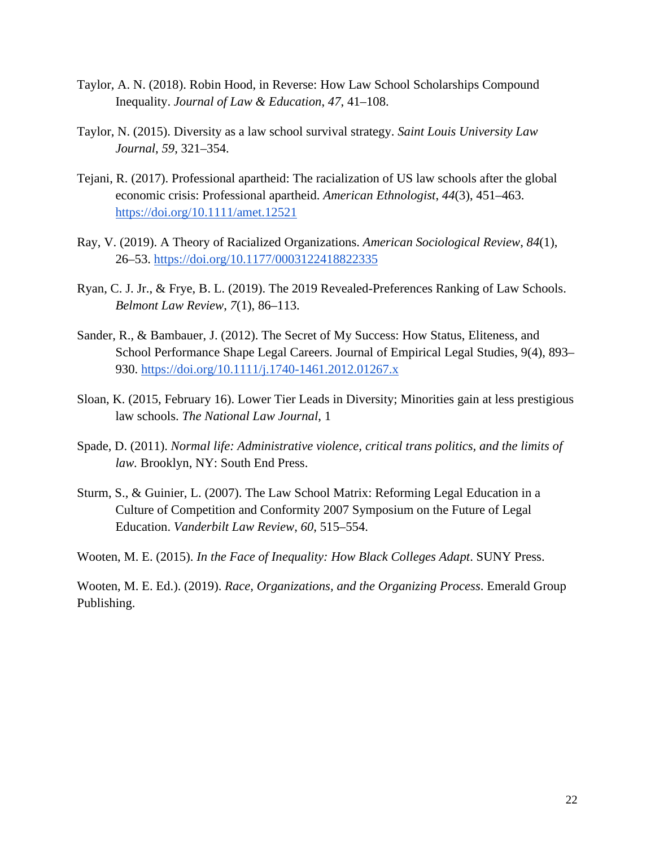- Taylor, A. N. (2018). Robin Hood, in Reverse: How Law School Scholarships Compound Inequality. *Journal of Law & Education*, *47*, 41–108.
- Taylor, N. (2015). Diversity as a law school survival strategy. *Saint Louis University Law Journal*, *59*, 321–354.
- Tejani, R. (2017). Professional apartheid: The racialization of US law schools after the global economic crisis: Professional apartheid. *American Ethnologist*, *44*(3), 451–463[.](https://doi.org/10.1111/amet.12521) <https://doi.org/10.1111/amet.12521>
- Ray, V. (2019). A Theory of Racialized Organizations. *American Sociological Review*, *84*(1), 26–53[.](https://doi.org/10.1177/0003122418822335) <https://doi.org/10.1177/0003122418822335>
- Ryan, C. J. Jr., & Frye, B. L. (2019). The 2019 Revealed-Preferences Ranking of Law Schools. *Belmont Law Review*, *7*(1), 86–113.
- Sander, R., & Bambauer, J. (2012). The Secret of My Success: How Status, Eliteness, and School Performance Shape Legal Careers. Journal of Empirical Legal Studies, 9(4), 893– 930.<https://doi.org/10.1111/j.1740-1461.2012.01267.x>
- Sloan, K. (2015, February 16). Lower Tier Leads in Diversity; Minorities gain at less prestigious law schools. *The National Law Journal*, 1
- Spade, D. (2011). *Normal life: Administrative violence, critical trans politics, and the limits of law.* Brooklyn, NY: South End Press.
- Sturm, S., & Guinier, L. (2007). The Law School Matrix: Reforming Legal Education in a Culture of Competition and Conformity 2007 Symposium on the Future of Legal Education. *Vanderbilt Law Review*, *60*, 515–554.

Wooten, M. E. (2015). *In the Face of Inequality: How Black Colleges Adapt*. SUNY Press.

Wooten, M. E. Ed.). (2019). *Race, Organizations, and the Organizing Process*. Emerald Group Publishing.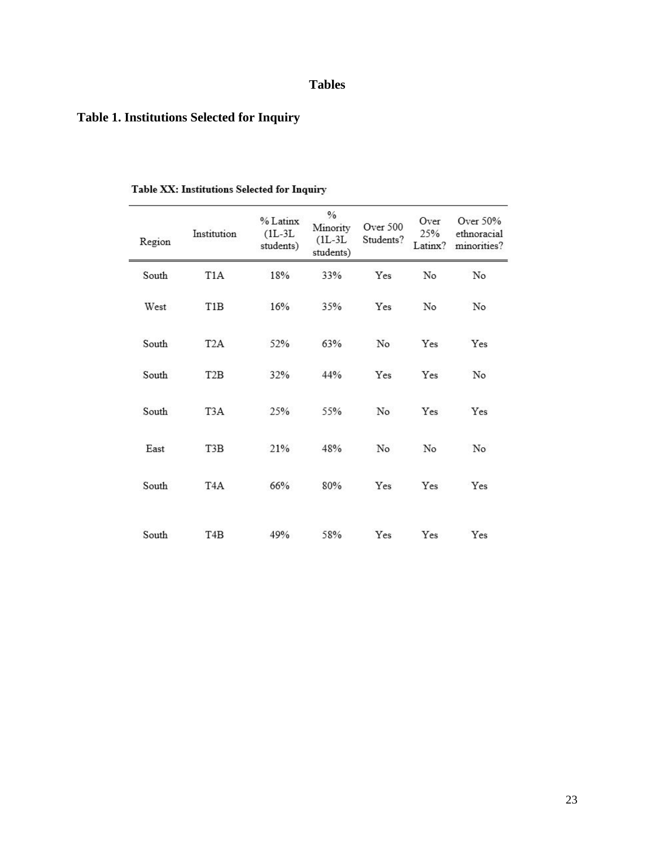# **Tables**

# **Table 1. Institutions Selected for Inquiry**

| Region | Institution      | % Latinx<br>$(1L-3L)$<br>students) | $\%$<br>Minority<br>$(1L-3L)$<br>students) | Over 500<br>Students? | Over<br>25%<br>Latinx? | Over 50%<br>ethnoracial<br>minorities? |
|--------|------------------|------------------------------------|--------------------------------------------|-----------------------|------------------------|----------------------------------------|
| South  | T <sub>1</sub> A | 18%                                | 33%                                        | Yes                   | No                     | No                                     |
| West   | T1B              | 16%                                | 35%                                        | Yes                   | No                     | No                                     |
| South  | T <sub>2</sub> A | 52%                                | 63%                                        | No                    | Yes                    | Yes                                    |
| South  | T <sub>2</sub> B | 32%                                | 44%                                        | Yes                   | Yes                    | No                                     |
| South  | T <sub>3</sub> A | 25%                                | 55%                                        | N <sub>o</sub>        | Yes                    | Yes                                    |
| East   | T3B              | 21%                                | 48%                                        | No                    | No                     | No                                     |
| South  | T <sub>4</sub> A | 66%                                | 80%                                        | Yes                   | Yes                    | Yes                                    |
| South  | T <sub>4</sub> B | 49%                                | 58%                                        | Yes                   | Yes                    | Yes                                    |

## Table XX: Institutions Selected for Inquiry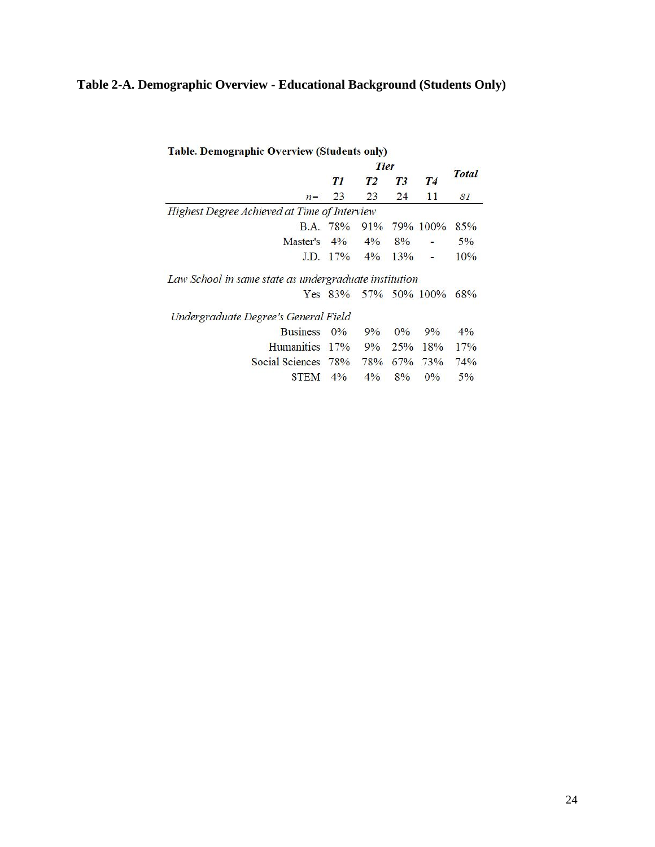# **Table 2-A. Demographic Overview - Educational Background (Students Only)**

| <b>Table. Demographic Overview (Students only)</b>    |             |       |       |              |              |
|-------------------------------------------------------|-------------|-------|-------|--------------|--------------|
|                                                       | <b>Tier</b> |       |       |              |              |
|                                                       | T1          | T2    | T3    | T4           | <b>Total</b> |
| $n =$                                                 | 23          | 23    | 24    | 11           | 81           |
| Highest Degree Achieved at Time of Interview          |             |       |       |              |              |
|                                                       | B.A. 78%    |       |       | 91% 79% 100% | 85%          |
| Master's                                              | $4\%$       | $4\%$ | 8%    |              | $5\%$        |
|                                                       | $JD. 17\%$  | $4\%$ | 13%   |              | 10%          |
| Law School in same state as undergraduate institution |             |       |       |              |              |
|                                                       | Yes $83\%$  |       |       | 57% 50% 100% | 68%          |
| Undergraduate Degree's General Field                  |             |       |       |              |              |
| <b>Business</b>                                       | 0%          | 9%    | $0\%$ | $9\%$        | $4\%$        |
| <b>Humanities</b>                                     | 17%         | $9\%$ | 25%   | 18%          | 17%          |
| <b>Social Sciences</b>                                | 78%         | 78%   | 67%   | 73%          | 74%          |
| STEM                                                  | $4\%$       | $4\%$ | 8%    | $0\%$        | $5\%$        |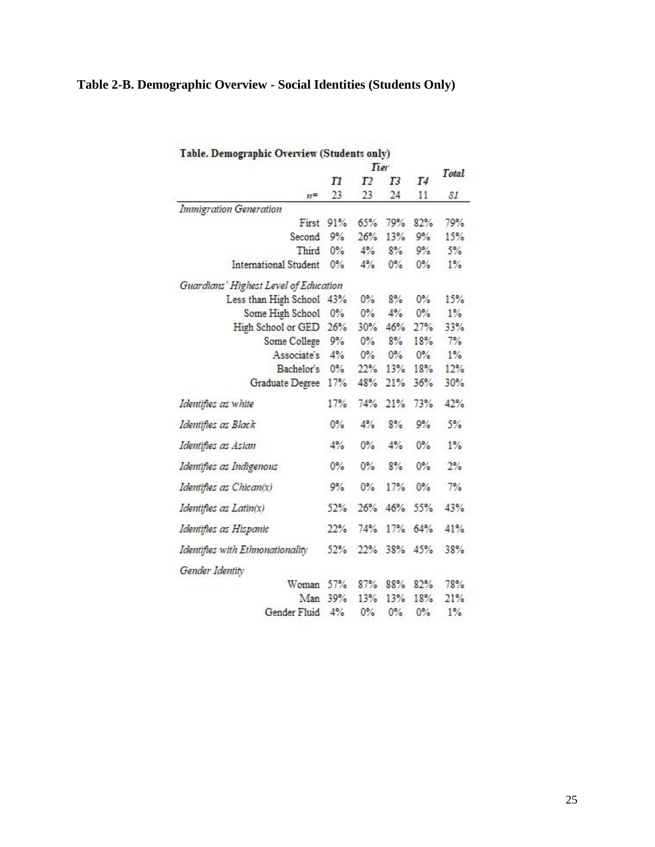# **Table 2-B. Demographic Overview - Social Identities (Students Only)**

|                                       | Tier  |                |                |       | Total          |
|---------------------------------------|-------|----------------|----------------|-------|----------------|
|                                       | T1    | T <sub>2</sub> | T <sub>3</sub> | T4    |                |
| $n =$                                 | 23    | 23             | 24             | 11    | $\mathcal{S}I$ |
| <b>Immigration Generation</b>         |       |                |                |       |                |
| First                                 | 91%   | 65%            | 79%            | 82%   | 79%            |
| Second                                | 9%    | 26%            | 13%            | 9%    | 15%            |
| Third                                 | $0\%$ | 4%             | 8%             | 9%    | 5%             |
| International Student                 | 0%    | 4%             | $0\%$          | $0\%$ | $1\%$          |
| Guardians' Highest Level of Education |       |                |                |       |                |
| Less than High School                 | 43%   | $0\%$          | 8%             | $0\%$ | 15%            |
| Some High School                      | $0\%$ | $0\%$          | 4%             | $0\%$ | $1\%$          |
| High School or GED                    | 26%   | 30%            | 46%            | 27%   | 33%            |
| Some College 9%                       |       | $0\%$          | 8%             | 18%   | 7%             |
| Associate's 4%                        |       | $0\%$          | $0\%$          | $0\%$ | 1%             |
| Bachelor's 0%                         |       | 22%            | 13%            | 18%   | 12%            |
| Graduate Degree 17%                   |       | 48%            | 21%            | 36%   | 30%            |
| Identifies as white                   | 17%   | 74%            | 21%            | 73%   | 42%            |
| Identifies as Black                   | $0\%$ | 4%             | 8%             | 9%    | 5%             |
| Identifies as Asian                   | 4%    | $0\%$          | 4%             | $0\%$ | $1\%$          |
| Identifies as Indigenous              | $0\%$ | $0\%$          | 8%             | $0\%$ | 2%             |
| Identifies as Chican(x)               | 9%    | $0\%$          | 17%            | $0\%$ | 7%             |
| Identifies as Latin(x)                | 52%   | 26%            | 46%            | 55%   | 43%            |
| Identifies as Hispanic                | 22%   | 74%            | 17%            | 64%   | 41%            |
| Identifies with Ethnonationality      | 52%   | 22%            | 38%            | 45%   | 38%            |
| Gender Identity                       |       |                |                |       |                |
| Woman                                 | 57%   | 87%            | 88%            | 82%   | 78%            |
| Man                                   | 39%   | 13%            | 13%            | 18%   | 21%            |
| Gender Fluid                          | 4%    | $0\%$          | $0\%$          | $0\%$ | $1\%$          |

#### Table. Demographic Overview (Students only)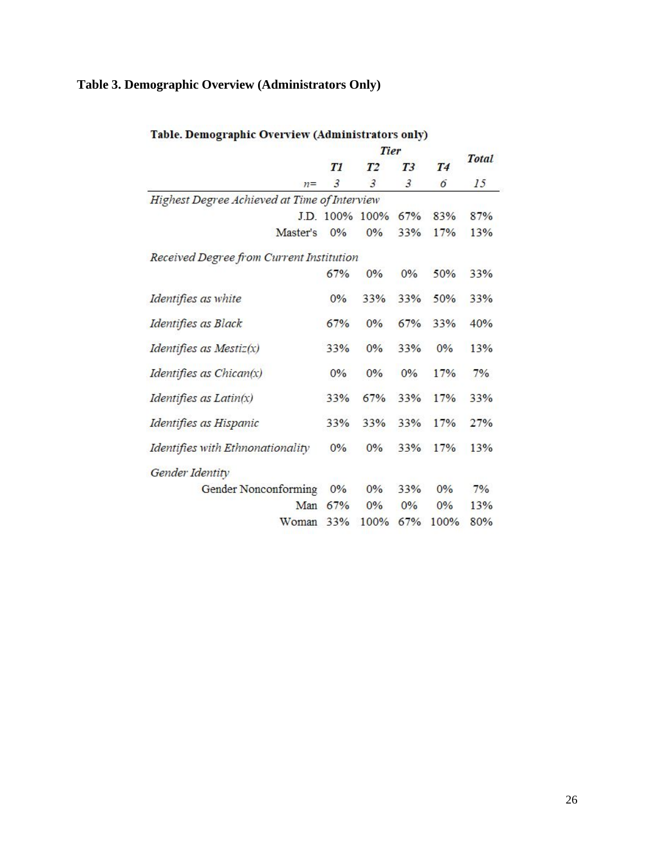# **Table 3. Demographic Overview (Administrators Only)**

|                                              | Tier |                |                |                |              |
|----------------------------------------------|------|----------------|----------------|----------------|--------------|
|                                              | T1   | T <sub>2</sub> | T <sub>3</sub> | T <sub>4</sub> | <b>Total</b> |
| $n =$                                        | 3    | 3              | $\mathfrak{Z}$ | 6              | 15           |
| Highest Degree Achieved at Time of Interview |      |                |                |                |              |
|                                              |      | J.D. 100% 100% | 67%            | 83%            | 87%          |
| Master's                                     | 0%   | 0%             | 33%            | 17%            | 13%          |
| Received Degree from Current Institution     |      |                |                |                |              |
|                                              | 67%  | 0%             | 0%             | 50%            | 33%          |
| Identifies as white                          | 0%   | 33%            | 33%            | 50%            | 33%          |
| Identifies as Black                          | 67%  | 0%             | 67%            | 33%            | 40%          |
| Identifies as Mestiz $(x)$                   | 33%  | 0%             | 33%            | 0%             | 13%          |
| Identifies as $Chican(x)$                    | 0%   | 0%             | 0%             | 17%            | 7%           |
| Identifies as $Latin(x)$                     | 33%  | 67%            | 33%            | 17%            | 33%          |
| Identifies as Hispanic                       | 33%  | 33%            | 33%            | 17%            | 27%          |
| Identifies with Ethnonationality             | 0%   | 0%             | 33%            | 17%            | 13%          |
| Gender Identity                              |      |                |                |                |              |
| Gender Nonconforming                         | 0%   | 0%             | 33%            | 0%             | 7%           |
| Man                                          | 67%  | 0%             | 0%             | 0%             | 13%          |
| Woman                                        | 33%  | 100%           | 67%            | 100%           | 80%          |

## Table. Demographic Overview (Administrators only)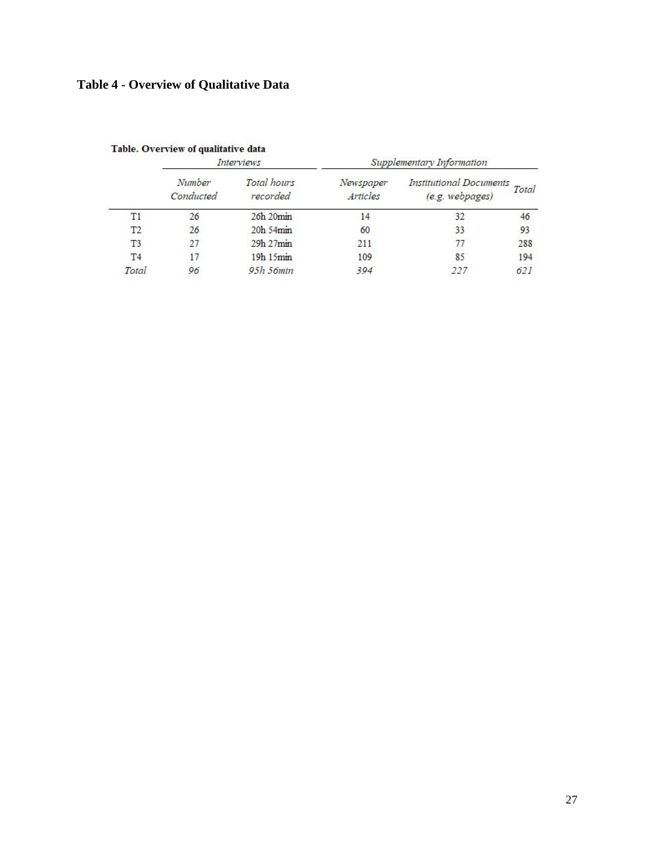# **Table 4 - Overview of Qualitative Data**

|                |                                                                         | Interviews     | Supplementary Information                  |       |     |  |  |
|----------------|-------------------------------------------------------------------------|----------------|--------------------------------------------|-------|-----|--|--|
|                | Number<br>Total hours<br>Newspaper<br>Conducted<br>Articles<br>recorded |                | Institutional Documents<br>(e.g. webpages) | Total |     |  |  |
| T1             | 26                                                                      | 26h 20min      | 14                                         | 32    | 46  |  |  |
| T <sub>2</sub> | 26                                                                      | 20h 54min      | 60                                         | 33    | 93  |  |  |
| T <sub>3</sub> | 27                                                                      | 29h 27min      | 211                                        |       | 288 |  |  |
| T <sub>4</sub> | 17                                                                      | 19h 15min      | 109                                        | 85    | 194 |  |  |
| Total          | 96                                                                      | $95h$ 56 $min$ | 394                                        | 227   | 621 |  |  |

Table. Overview of qualitative data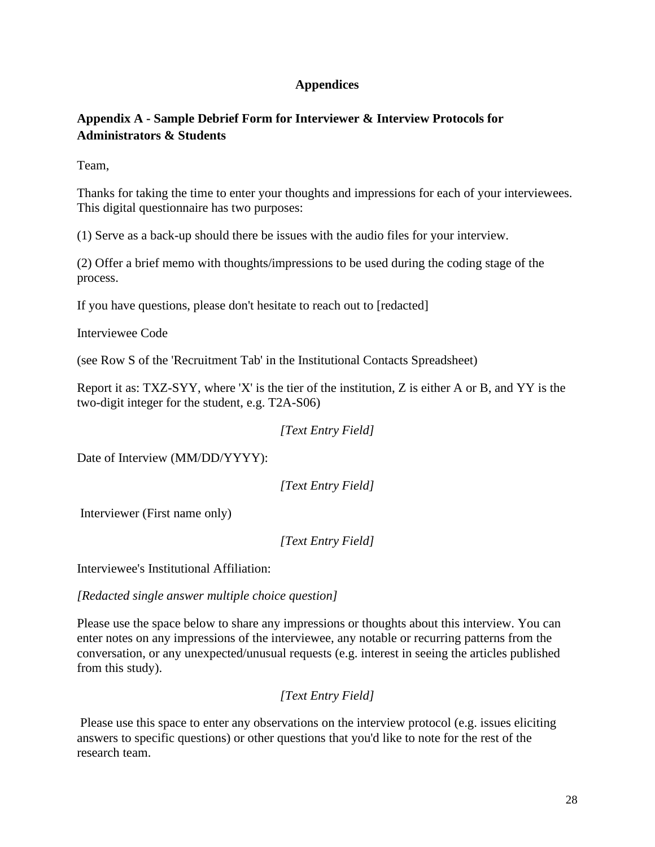## **Appendices**

# **Appendix A - Sample Debrief Form for Interviewer & Interview Protocols for Administrators & Students**

Team,

Thanks for taking the time to enter your thoughts and impressions for each of your interviewees. This digital questionnaire has two purposes:

(1) Serve as a back-up should there be issues with the audio files for your interview.

(2) Offer a brief memo with thoughts/impressions to be used during the coding stage of the process.

If you have questions, please don't hesitate to reach out to [redacted]

Interviewee Code

(see Row S of the 'Recruitment Tab' in the Institutional Contacts Spreadsheet)

Report it as: TXZ-SYY, where 'X' is the tier of the institution, Z is either A or B, and YY is the two-digit integer for the student, e.g. T2A-S06)

*[Text Entry Field]*

Date of Interview (MM/DD/YYYY):

*[Text Entry Field]*

Interviewer (First name only)

*[Text Entry Field]*

Interviewee's Institutional Affiliation:

*[Redacted single answer multiple choice question]*

Please use the space below to share any impressions or thoughts about this interview. You can enter notes on any impressions of the interviewee, any notable or recurring patterns from the conversation, or any unexpected/unusual requests (e.g. interest in seeing the articles published from this study).

*[Text Entry Field]*

Please use this space to enter any observations on the interview protocol (e.g. issues eliciting answers to specific questions) or other questions that you'd like to note for the rest of the research team.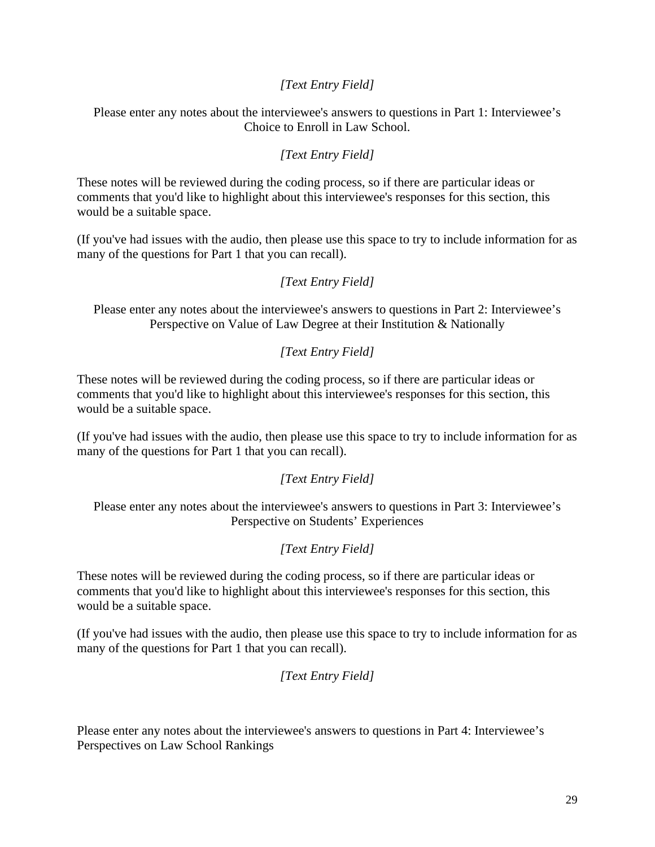## *[Text Entry Field]*

Please enter any notes about the interviewee's answers to questions in Part 1: Interviewee's Choice to Enroll in Law School.

## *[Text Entry Field]*

These notes will be reviewed during the coding process, so if there are particular ideas or comments that you'd like to highlight about this interviewee's responses for this section, this would be a suitable space.

(If you've had issues with the audio, then please use this space to try to include information for as many of the questions for Part 1 that you can recall).

#### *[Text Entry Field]*

Please enter any notes about the interviewee's answers to questions in Part 2: Interviewee's Perspective on Value of Law Degree at their Institution & Nationally

#### *[Text Entry Field]*

These notes will be reviewed during the coding process, so if there are particular ideas or comments that you'd like to highlight about this interviewee's responses for this section, this would be a suitable space.

(If you've had issues with the audio, then please use this space to try to include information for as many of the questions for Part 1 that you can recall).

#### *[Text Entry Field]*

Please enter any notes about the interviewee's answers to questions in Part 3: Interviewee's Perspective on Students' Experiences

#### *[Text Entry Field]*

These notes will be reviewed during the coding process, so if there are particular ideas or comments that you'd like to highlight about this interviewee's responses for this section, this would be a suitable space.

(If you've had issues with the audio, then please use this space to try to include information for as many of the questions for Part 1 that you can recall).

*[Text Entry Field]*

Please enter any notes about the interviewee's answers to questions in Part 4: Interviewee's Perspectives on Law School Rankings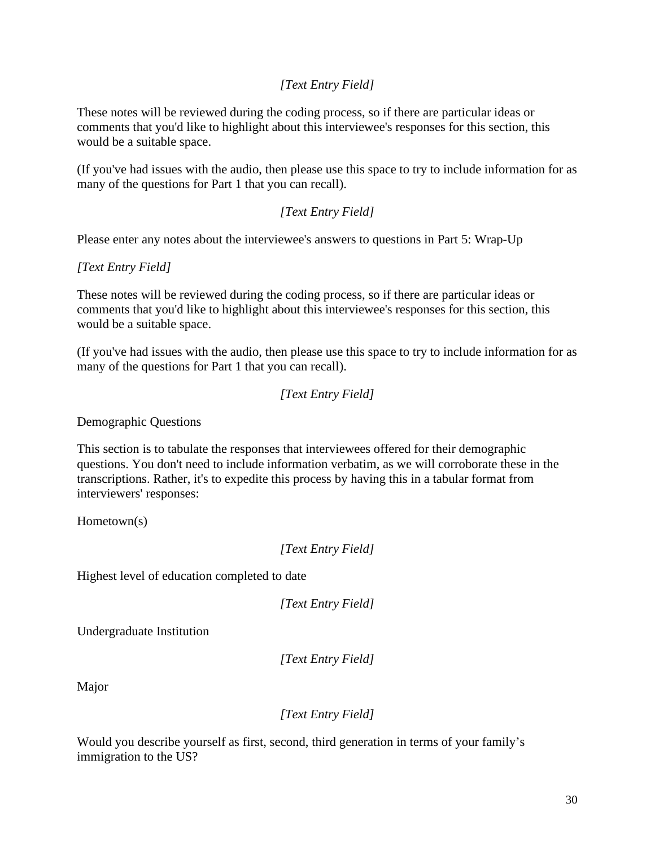# *[Text Entry Field]*

These notes will be reviewed during the coding process, so if there are particular ideas or comments that you'd like to highlight about this interviewee's responses for this section, this would be a suitable space.

(If you've had issues with the audio, then please use this space to try to include information for as many of the questions for Part 1 that you can recall).

## *[Text Entry Field]*

Please enter any notes about the interviewee's answers to questions in Part 5: Wrap-Up

### *[Text Entry Field]*

These notes will be reviewed during the coding process, so if there are particular ideas or comments that you'd like to highlight about this interviewee's responses for this section, this would be a suitable space.

(If you've had issues with the audio, then please use this space to try to include information for as many of the questions for Part 1 that you can recall).

```
[Text Entry Field]
```
Demographic Questions

This section is to tabulate the responses that interviewees offered for their demographic questions. You don't need to include information verbatim, as we will corroborate these in the transcriptions. Rather, it's to expedite this process by having this in a tabular format from interviewers' responses:

Hometown(s)

*[Text Entry Field]*

Highest level of education completed to date

*[Text Entry Field]*

Undergraduate Institution

*[Text Entry Field]*

Major

#### *[Text Entry Field]*

Would you describe yourself as first, second, third generation in terms of your family's immigration to the US?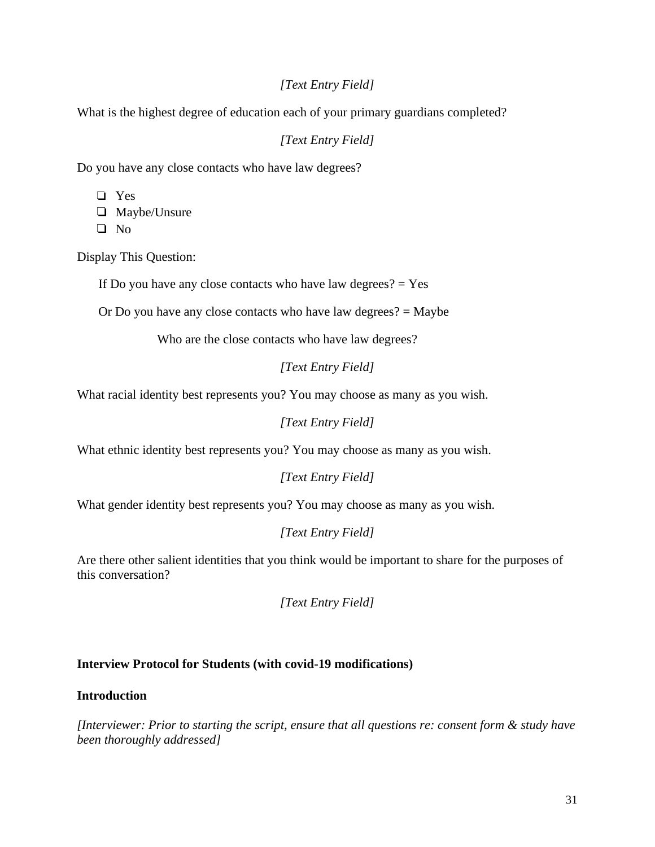## *[Text Entry Field]*

What is the highest degree of education each of your primary guardians completed?

*[Text Entry Field]*

Do you have any close contacts who have law degrees?

❏ Yes

❏ Maybe/Unsure

❏ No

Display This Question:

If Do you have any close contacts who have law degrees?  $=$  Yes

Or Do you have any close contacts who have law degrees? = Maybe

Who are the close contacts who have law degrees?

*[Text Entry Field]*

What racial identity best represents you? You may choose as many as you wish.

*[Text Entry Field]*

What ethnic identity best represents you? You may choose as many as you wish.

*[Text Entry Field]*

What gender identity best represents you? You may choose as many as you wish.

*[Text Entry Field]*

Are there other salient identities that you think would be important to share for the purposes of this conversation?

*[Text Entry Field]*

#### **Interview Protocol for Students (with covid-19 modifications)**

#### **Introduction**

*[Interviewer: Prior to starting the script, ensure that all questions re: consent form & study have been thoroughly addressed]*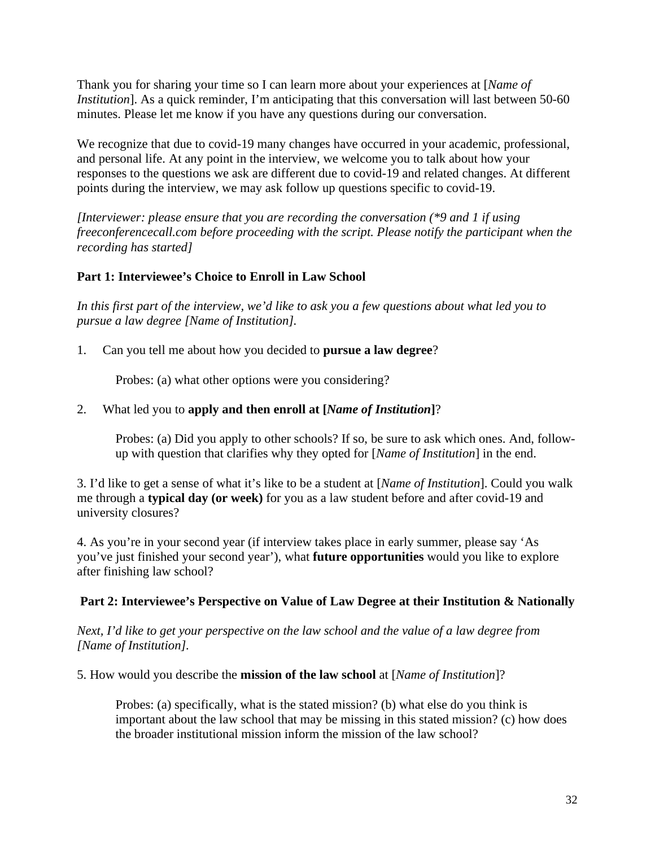Thank you for sharing your time so I can learn more about your experiences at [*Name of Institution*]. As a quick reminder, I'm anticipating that this conversation will last between 50-60 minutes. Please let me know if you have any questions during our conversation.

We recognize that due to covid-19 many changes have occurred in your academic, professional, and personal life. At any point in the interview, we welcome you to talk about how your responses to the questions we ask are different due to covid-19 and related changes. At different points during the interview, we may ask follow up questions specific to covid-19.

*[Interviewer: please ensure that you are recording the conversation (\*9 and 1 if using freeconferencecall.com before proceeding with the script. Please notify the participant when the recording has started]*

## **Part 1: Interviewee's Choice to Enroll in Law School**

*In this first part of the interview, we'd like to ask you a few questions about what led you to pursue a law degree [Name of Institution].* 

1. Can you tell me about how you decided to **pursue a law degree**?

Probes: (a) what other options were you considering?

## 2. What led you to **apply and then enroll at [***Name of Institution***]**?

Probes: (a) Did you apply to other schools? If so, be sure to ask which ones. And, followup with question that clarifies why they opted for [*Name of Institution*] in the end.

3. I'd like to get a sense of what it's like to be a student at [*Name of Institution*]. Could you walk me through a **typical day (or week)** for you as a law student before and after covid-19 and university closures?

4. As you're in your second year (if interview takes place in early summer, please say 'As you've just finished your second year'), what **future opportunities** would you like to explore after finishing law school?

## **Part 2: Interviewee's Perspective on Value of Law Degree at their Institution & Nationally**

*Next, I'd like to get your perspective on the law school and the value of a law degree from [Name of Institution].*

5. How would you describe the **mission of the law school** at [*Name of Institution*]?

Probes: (a) specifically, what is the stated mission? (b) what else do you think is important about the law school that may be missing in this stated mission? (c) how does the broader institutional mission inform the mission of the law school?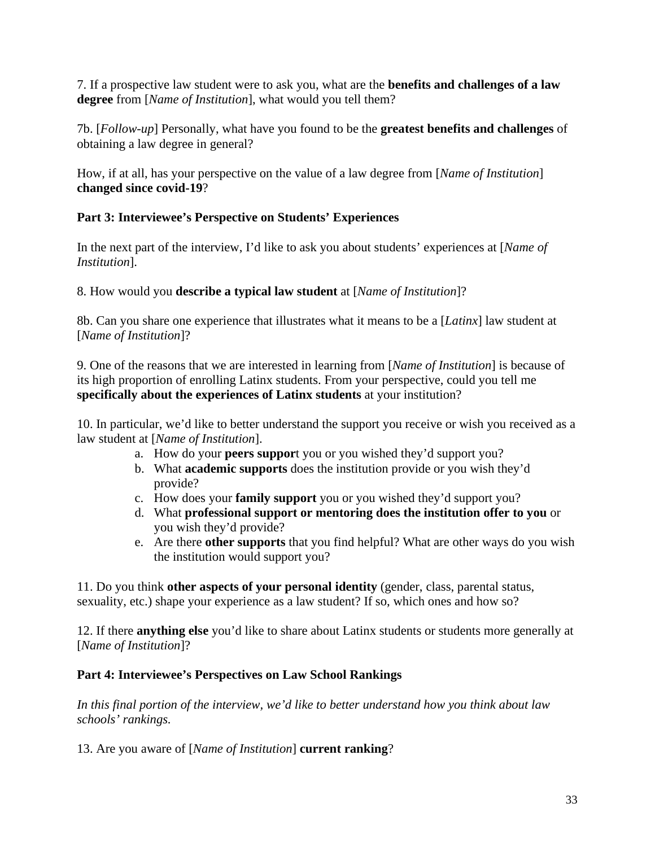7. If a prospective law student were to ask you, what are the **benefits and challenges of a law degree** from [*Name of Institution*], what would you tell them?

7b. [*Follow-up*] Personally, what have you found to be the **greatest benefits and challenges** of obtaining a law degree in general?

How, if at all, has your perspective on the value of a law degree from [*Name of Institution*] **changed since covid-19**?

## **Part 3: Interviewee's Perspective on Students' Experiences**

In the next part of the interview, I'd like to ask you about students' experiences at [*Name of Institution*].

## 8. How would you **describe a typical law student** at [*Name of Institution*]?

8b. Can you share one experience that illustrates what it means to be a [*Latinx*] law student at [*Name of Institution*]?

9. One of the reasons that we are interested in learning from [*Name of Institution*] is because of its high proportion of enrolling Latinx students. From your perspective, could you tell me **specifically about the experiences of Latinx students** at your institution?

10. In particular, we'd like to better understand the support you receive or wish you received as a law student at [*Name of Institution*].

- a. How do your **peers suppor**t you or you wished they'd support you?
- b. What **academic supports** does the institution provide or you wish they'd provide?
- c. How does your **family support** you or you wished they'd support you?
- d. What **professional support or mentoring does the institution offer to you** or you wish they'd provide?
- e. Are there **other supports** that you find helpful? What are other ways do you wish the institution would support you?

11. Do you think **other aspects of your personal identity** (gender, class, parental status, sexuality, etc.) shape your experience as a law student? If so, which ones and how so?

12. If there **anything else** you'd like to share about Latinx students or students more generally at [*Name of Institution*]?

# **Part 4: Interviewee's Perspectives on Law School Rankings**

*In this final portion of the interview, we'd like to better understand how you think about law schools' rankings.* 

13. Are you aware of [*Name of Institution*] **current ranking**?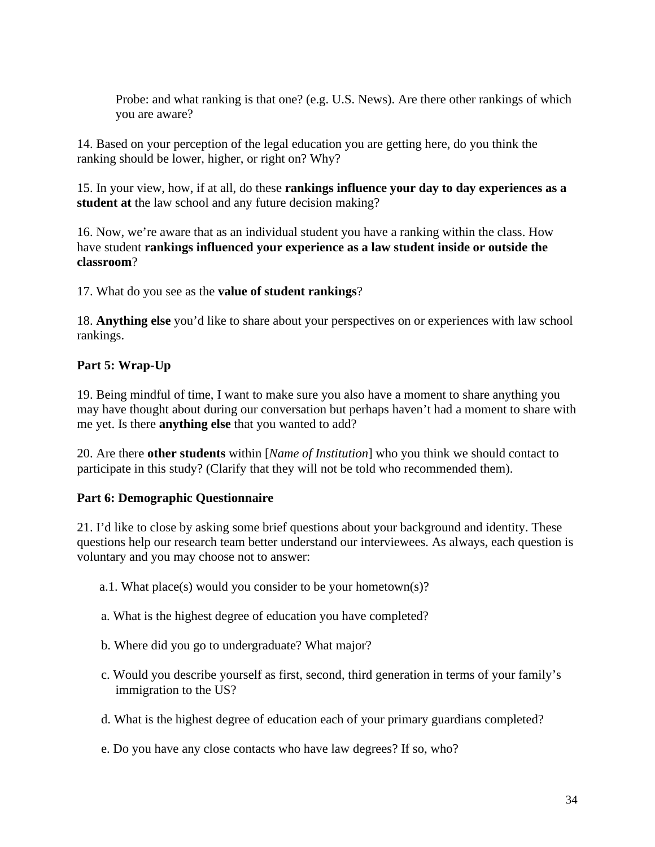Probe: and what ranking is that one? (e.g. U.S. News). Are there other rankings of which you are aware?

14. Based on your perception of the legal education you are getting here, do you think the ranking should be lower, higher, or right on? Why?

15. In your view, how, if at all, do these **rankings influence your day to day experiences as a student at** the law school and any future decision making?

16. Now, we're aware that as an individual student you have a ranking within the class. How have student **rankings influenced your experience as a law student inside or outside the classroom**?

17. What do you see as the **value of student rankings**?

18. **Anything else** you'd like to share about your perspectives on or experiences with law school rankings.

# **Part 5: Wrap-Up**

19. Being mindful of time, I want to make sure you also have a moment to share anything you may have thought about during our conversation but perhaps haven't had a moment to share with me yet. Is there **anything else** that you wanted to add?

20. Are there **other students** within [*Name of Institution*] who you think we should contact to participate in this study? (Clarify that they will not be told who recommended them).

# **Part 6: Demographic Questionnaire**

21. I'd like to close by asking some brief questions about your background and identity. These questions help our research team better understand our interviewees. As always, each question is voluntary and you may choose not to answer:

- a.1. What place(s) would you consider to be your hometown(s)?
- a. What is the highest degree of education you have completed?
- b. Where did you go to undergraduate? What major?
- c. Would you describe yourself as first, second, third generation in terms of your family's immigration to the US?
- d. What is the highest degree of education each of your primary guardians completed?
- e. Do you have any close contacts who have law degrees? If so, who?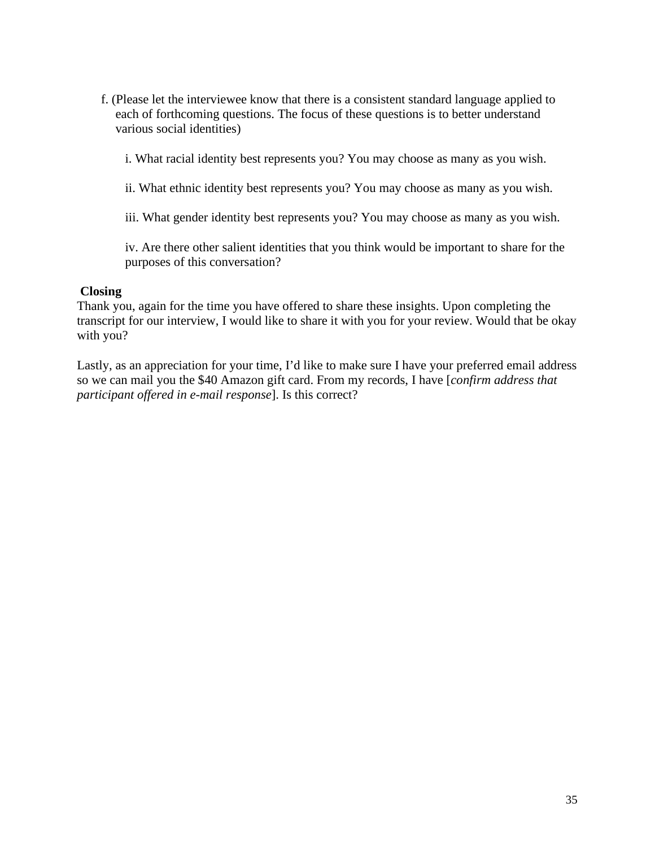f. (Please let the interviewee know that there is a consistent standard language applied to each of forthcoming questions. The focus of these questions is to better understand various social identities)

i. What racial identity best represents you? You may choose as many as you wish.

ii. What ethnic identity best represents you? You may choose as many as you wish.

iii. What gender identity best represents you? You may choose as many as you wish.

iv. Are there other salient identities that you think would be important to share for the purposes of this conversation?

#### **Closing**

Thank you, again for the time you have offered to share these insights. Upon completing the transcript for our interview, I would like to share it with you for your review. Would that be okay with you?

Lastly, as an appreciation for your time, I'd like to make sure I have your preferred email address so we can mail you the \$40 Amazon gift card. From my records, I have [*confirm address that participant offered in e-mail response*]. Is this correct?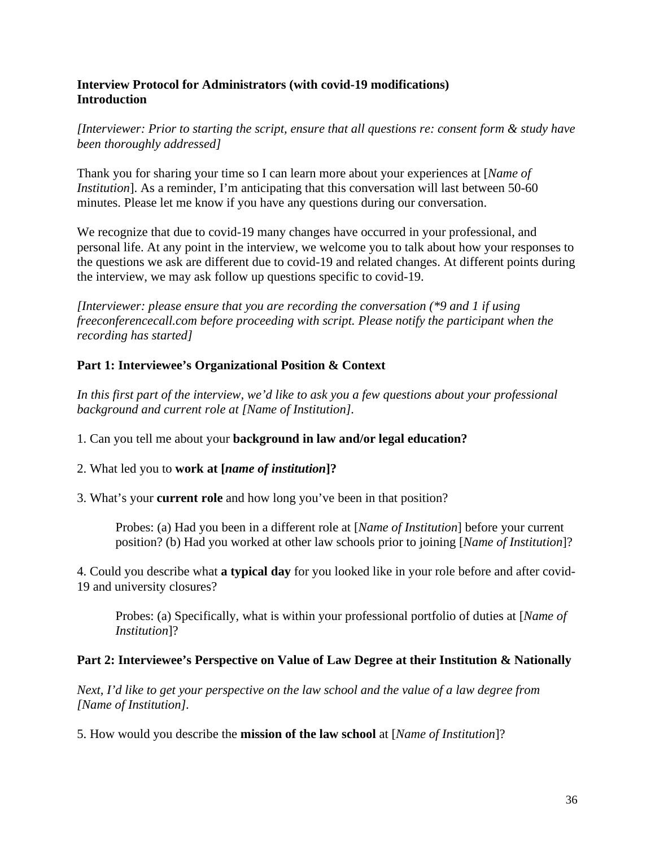### **Interview Protocol for Administrators (with covid-19 modifications) Introduction**

*[Interviewer: Prior to starting the script, ensure that all questions re: consent form & study have been thoroughly addressed]*

Thank you for sharing your time so I can learn more about your experiences at [*Name of Institution*]. As a reminder, I'm anticipating that this conversation will last between 50-60 minutes. Please let me know if you have any questions during our conversation.

We recognize that due to covid-19 many changes have occurred in your professional, and personal life. At any point in the interview, we welcome you to talk about how your responses to the questions we ask are different due to covid-19 and related changes. At different points during the interview, we may ask follow up questions specific to covid-19.

*[Interviewer: please ensure that you are recording the conversation (\*9 and 1 if using freeconferencecall.com before proceeding with script. Please notify the participant when the recording has started]*

## **Part 1: Interviewee's Organizational Position & Context**

*In this first part of the interview, we'd like to ask you a few questions about your professional background and current role at [Name of Institution].* 

1. Can you tell me about your **background in law and/or legal education?**

## 2. What led you to **work at [***name of institution***]?**

3. What's your **current role** and how long you've been in that position?

Probes: (a) Had you been in a different role at [*Name of Institution*] before your current position? (b) Had you worked at other law schools prior to joining [*Name of Institution*]?

4. Could you describe what **a typical day** for you looked like in your role before and after covid-19 and university closures?

Probes: (a) Specifically, what is within your professional portfolio of duties at [*Name of Institution*]?

#### **Part 2: Interviewee's Perspective on Value of Law Degree at their Institution & Nationally**

*Next, I'd like to get your perspective on the law school and the value of a law degree from [Name of Institution].*

5. How would you describe the **mission of the law school** at [*Name of Institution*]?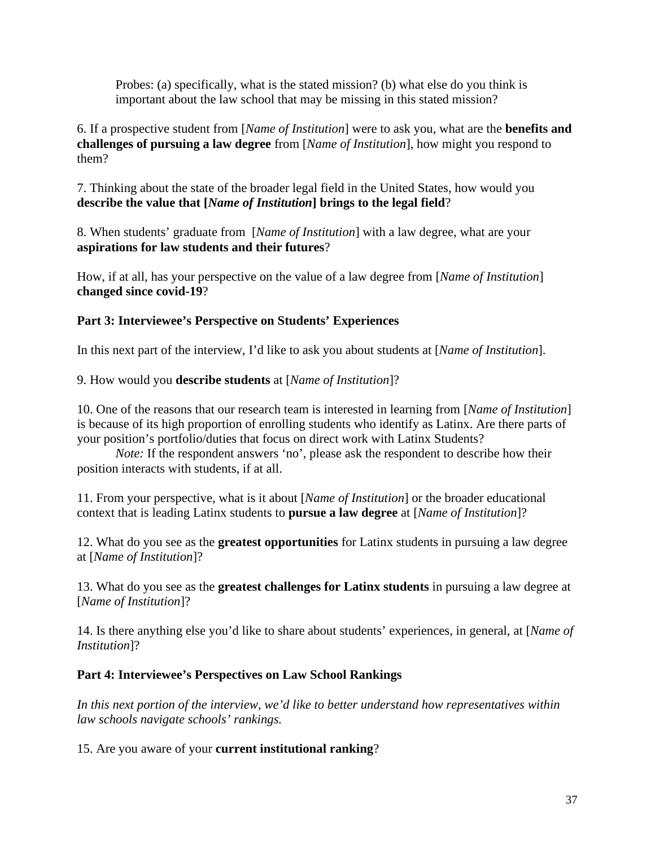Probes: (a) specifically, what is the stated mission? (b) what else do you think is important about the law school that may be missing in this stated mission?

6. If a prospective student from [*Name of Institution*] were to ask you, what are the **benefits and challenges of pursuing a law degree** from [*Name of Institution*], how might you respond to them?

7. Thinking about the state of the broader legal field in the United States, how would you **describe the value that [***Name of Institution***] brings to the legal field**?

8. When students' graduate from [*Name of Institution*] with a law degree, what are your **aspirations for law students and their futures**?

How, if at all, has your perspective on the value of a law degree from [*Name of Institution*] **changed since covid-19**?

## **Part 3: Interviewee's Perspective on Students' Experiences**

In this next part of the interview, I'd like to ask you about students at [*Name of Institution*].

9. How would you **describe students** at [*Name of Institution*]?

10. One of the reasons that our research team is interested in learning from [*Name of Institution*] is because of its high proportion of enrolling students who identify as Latinx. Are there parts of your position's portfolio/duties that focus on direct work with Latinx Students?

*Note:* If the respondent answers 'no', please ask the respondent to describe how their position interacts with students, if at all.

11. From your perspective, what is it about [*Name of Institution*] or the broader educational context that is leading Latinx students to **pursue a law degree** at [*Name of Institution*]?

12. What do you see as the **greatest opportunities** for Latinx students in pursuing a law degree at [*Name of Institution*]?

13. What do you see as the **greatest challenges for Latinx students** in pursuing a law degree at [*Name of Institution*]?

14. Is there anything else you'd like to share about students' experiences, in general, at [*Name of Institution*]?

# **Part 4: Interviewee's Perspectives on Law School Rankings**

*In this next portion of the interview, we'd like to better understand how representatives within law schools navigate schools' rankings.* 

15. Are you aware of your **current institutional ranking**?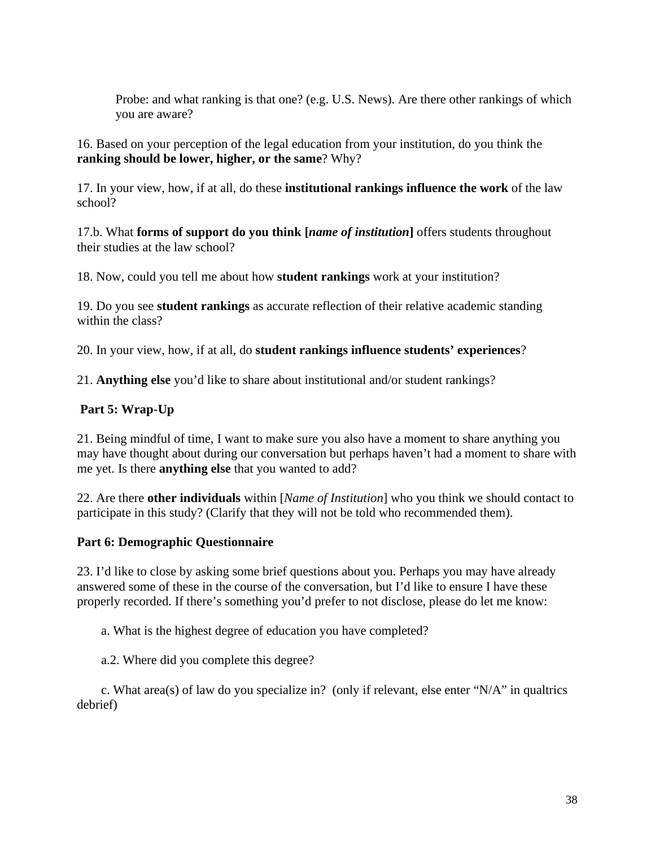Probe: and what ranking is that one? (e.g. U.S. News). Are there other rankings of which you are aware?

16. Based on your perception of the legal education from your institution, do you think the **ranking should be lower, higher, or the same**? Why?

17. In your view, how, if at all, do these **institutional rankings influence the work** of the law school?

17.b. What **forms of support do you think [***name of institution***]** offers students throughout their studies at the law school?

18. Now, could you tell me about how **student rankings** work at your institution?

19. Do you see **student rankings** as accurate reflection of their relative academic standing within the class?

20. In your view, how, if at all, do **student rankings influence students' experiences**?

21. **Anything else** you'd like to share about institutional and/or student rankings?

# **Part 5: Wrap-Up**

21. Being mindful of time, I want to make sure you also have a moment to share anything you may have thought about during our conversation but perhaps haven't had a moment to share with me yet. Is there **anything else** that you wanted to add?

22. Are there **other individuals** within [*Name of Institution*] who you think we should contact to participate in this study? (Clarify that they will not be told who recommended them).

## **Part 6: Demographic Questionnaire**

23. I'd like to close by asking some brief questions about you. Perhaps you may have already answered some of these in the course of the conversation, but I'd like to ensure I have these properly recorded. If there's something you'd prefer to not disclose, please do let me know:

a. What is the highest degree of education you have completed?

a.2. Where did you complete this degree?

c. What area(s) of law do you specialize in? (only if relevant, else enter " $N/A$ " in qualtrics debrief)